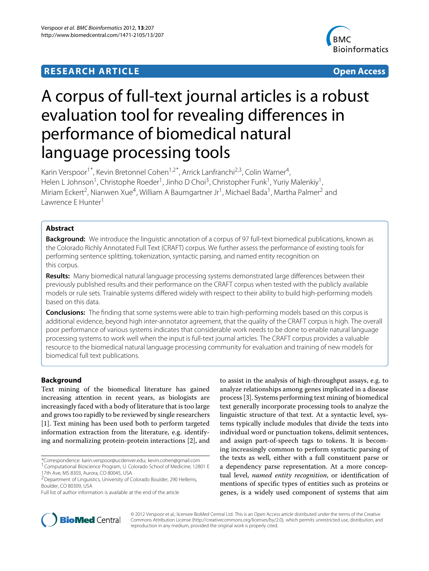## **RESEARCH ARTICLE CONSUMING A RESEARCH ARTICLE**



# A corpus of full-text journal articles is a robust evaluation tool for revealing differences in performance of biomedical natural language processing tools

Karin Verspoor<sup>1\*</sup>, Kevin Bretonnel Cohen<sup>1,2\*</sup>, Arrick Lanfranchi<sup>2,3</sup>, Colin Warner<sup>4</sup>, Helen L Johnson<sup>1</sup>, Christophe Roeder<sup>1</sup>, Jinho D Choi<sup>3</sup>, Christopher Funk<sup>1</sup>, Yuriy Malenkiy<sup>1</sup>, Miriam Eckert<sup>2</sup>, Nianwen Xue<sup>4</sup>, William A Baumgartner Jr<sup>1</sup>, Michael Bada<sup>1</sup>, Martha Palmer<sup>2</sup> and Lawrence E Hunter<sup>1</sup>

## **Abstract**

**Background:** We introduce the linguistic annotation of a corpus of 97 full-text biomedical publications, known as the Colorado Richly Annotated Full Text (CRAFT) corpus. We further assess the performance of existing tools for performing sentence splitting, tokenization, syntactic parsing, and named entity recognition on this corpus.

**Results:** Many biomedical natural language processing systems demonstrated large differences between their previously published results and their performance on the CRAFT corpus when tested with the publicly available models or rule sets. Trainable systems differed widely with respect to their ability to build high-performing models based on this data.

**Conclusions:** The finding that some systems were able to train high-performing models based on this corpus is additional evidence, beyond high inter-annotator agreement, that the quality of the CRAFT corpus is high. The overall poor performance of various systems indicates that considerable work needs to be done to enable natural language processing systems to work well when the input is full-text journal articles. The CRAFT corpus provides a valuable resource to the biomedical natural language processing community for evaluation and training of new models for biomedical full text publications.

## **Background**

Text mining of the biomedical literature has gained increasing attention in recent years, as biologists are increasingly faced with a body of literature that is too large and grows too rapidly to be reviewed by single researchers [\[1\]](#page-23-0). Text mining has been used both to perform targeted information extraction from the literature, e.g. identifying and normalizing protein-protein interactions [\[2\]](#page-23-1), and

\*Correspondence: karin.verspoor@ucdenver.edu; kevin.cohen@gmail.com 1Computational Bioscience Program, U. Colorado School of Medicine, 12801 E to assist in the analysis of high-throughput assays, e.g. to analyze relationships among genes implicated in a disease process [\[3\]](#page-23-2). Systems performing text mining of biomedical text generally incorporate processing tools to analyze the linguistic structure of that text. At a syntactic level, systems typically include modules that divide the texts into individual word or punctuation tokens, delimit sentences, and assign part-of-speech tags to tokens. It is becoming increasingly common to perform syntactic parsing of the texts as well, either with a full constituent parse or a dependency parse representation. At a more conceptual level, *named entity recognition*, or identification of mentions of specific types of entities such as proteins or genes, is a widely used component of systems that aim



© 2012 Verspoor et al.; licensee BioMed Central Ltd. This is an Open Access article distributed under the terms of the Creative Commons Attribution License (http://creativecommons.org/licenses/by/2.0), which permits unrestricted use, distribution, and reproduction in any medium, provided the original work is properly cited.

<sup>17</sup>th Ave, MS 8303, Aurora, CO 80045, USA 2Department of Linguistics, University of Colorado Boulder, 290 Hellems,

Boulder, CO 80309, USA

Full list of author information is available at the end of the article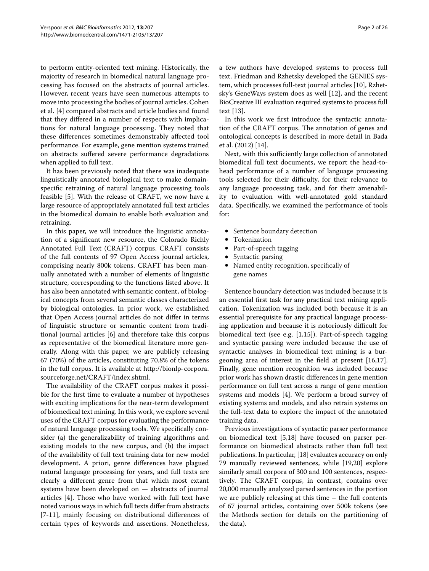to perform entity-oriented text mining. Historically, the majority of research in biomedical natural language processing has focused on the abstracts of journal articles. However, recent years have seen numerous attempts to move into processing the bodies of journal articles. Cohen et al. [\[4\]](#page-23-3) compared abstracts and article bodies and found that they differed in a number of respects with implications for natural language processing. They noted that these differences sometimes demonstrably affected tool performance. For example, gene mention systems trained on abstracts suffered severe performance degradations when applied to full text.

It has been previously noted that there was inadequate linguistically annotated biological text to make domainspecific retraining of natural language processing tools feasible [\[5\]](#page-23-4). With the release of CRAFT, we now have a large resource of appropriately annotated full text articles in the biomedical domain to enable both evaluation and retraining.

In this paper, we will introduce the linguistic annotation of a significant new resource, the Colorado Richly Annotated Full Text (CRAFT) corpus. CRAFT consists of the full contents of 97 Open Access journal articles, comprising nearly 800k tokens. CRAFT has been manually annotated with a number of elements of linguistic structure, corresponding to the functions listed above. It has also been annotated with semantic content, of biological concepts from several semantic classes characterized by biological ontologies. In prior work, we established that Open Access journal articles do not differ in terms of linguistic structure or semantic content from traditional journal articles [\[6\]](#page-23-5) and therefore take this corpus as representative of the biomedical literature more generally. Along with this paper, we are publicly releasing 67 (70%) of the articles, constituting 70.8% of the tokens in the full corpus. It is available at [http://bionlp-corpora.](http://bionlp-corpora.sourceforge.net/CRAFT/index.shtml) [sourceforge.net/CRAFT/index.shtml.](http://bionlp-corpora.sourceforge.net/CRAFT/index.shtml)

The availability of the CRAFT corpus makes it possible for the first time to evaluate a number of hypotheses with exciting implications for the near-term development of biomedical text mining. In this work, we explore several uses of the CRAFT corpus for evaluating the performance of natural language processing tools. We specifically consider (a) the generalizability of training algorithms and existing models to the new corpus, and (b) the impact of the availability of full text training data for new model development. A priori, genre differences have plagued natural language processing for years, and full texts are clearly a different genre from that which most extant systems have been developed on — abstracts of journal articles [\[4\]](#page-23-3). Those who have worked with full text have noted various ways in which full texts differ from abstracts [\[7](#page-23-6)[-11\]](#page-23-7), mainly focusing on distributional differences of certain types of keywords and assertions. Nonetheless,

a few authors have developed systems to process full text. Friedman and Rzhetsky developed the GENIES system, which processes full-text journal articles [\[10\]](#page-23-8), Rzhetsky's GeneWays system does as well [\[12\]](#page-23-9), and the recent BioCreative III evaluation required systems to process full text [\[13\]](#page-23-10).

In this work we first introduce the syntactic annotation of the CRAFT corpus. The annotation of genes and ontological concepts is described in more detail in Bada et al. (2012) [\[14\]](#page-23-11).

Next, with this sufficiently large collection of annotated biomedical full text documents, we report the head-tohead performance of a number of language processing tools selected for their difficulty, for their relevance to any language processing task, and for their amenability to evaluation with well-annotated gold standard data. Specifically, we examined the performance of tools for:

- Sentence boundary detection
- **Tokenization**
- Part-of-speech tagging
- Syntactic parsing
- Named entity recognition, specifically of gene names

Sentence boundary detection was included because it is an essential first task for any practical text mining application. Tokenization was included both because it is an essential prerequisite for any practical language processing application and because it is notoriously difficult for biomedical text (see e.g. [\[1](#page-23-0)[,15\]](#page-24-0)). Part-of-speech tagging and syntactic parsing were included because the use of syntactic analyses in biomedical text mining is a burgeoning area of interest in the field at present [\[16,](#page-24-1)[17\]](#page-24-2). Finally, gene mention recognition was included because prior work has shown drastic differences in gene mention performance on full text across a range of gene mention systems and models [\[4\]](#page-23-3). We perform a broad survey of existing systems and models, and also retrain systems on the full-text data to explore the impact of the annotated training data.

Previous investigations of syntactic parser performance on biomedical text [\[5](#page-23-4)[,18\]](#page-24-3) have focused on parser performance on biomedical abstracts rather than full text publications. In particular, [\[18\]](#page-24-3) evaluates accuracy on only 79 manually reviewed sentences, while [\[19](#page-24-4)[,20\]](#page-24-5) explore similarly small corpora of 300 and 100 sentences, respectively. The CRAFT corpus, in contrast, contains over 20,000 manually analyzed parsed sentences in the portion we are publicly releasing at this time – the full contents of 67 journal articles, containing over 500k tokens (see the Methods section for details on the partitioning of the data).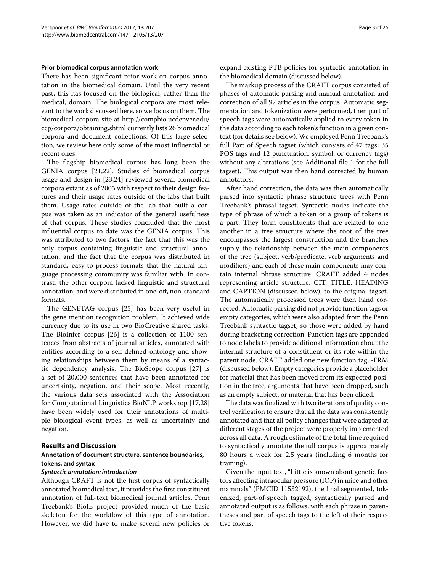#### **Prior biomedical corpus annotation work**

There has been significant prior work on corpus annotation in the biomedical domain. Until the very recent past, this has focused on the biological, rather than the medical, domain. The biological corpora are most relevant to the work discussed here, so we focus on them. The biomedical corpora site at [http://compbio.ucdenver.edu/](http://compbio.ucdenver.edu/ccp/corpora/obtaining.shtml) [ccp/corpora/obtaining.shtml](http://compbio.ucdenver.edu/ccp/corpora/obtaining.shtml) currently lists 26 biomedical corpora and document collections. Of this large selection, we review here only some of the most influential or recent ones.

The flagship biomedical corpus has long been the GENIA corpus [\[21](#page-24-6)[,22\]](#page-24-7). Studies of biomedical corpus usage and design in [\[23,](#page-24-8)[24\]](#page-24-9) reviewed several biomedical corpora extant as of 2005 with respect to their design features and their usage rates outside of the labs that built them. Usage rates outside of the lab that built a corpus was taken as an indicator of the general usefulness of that corpus. These studies concluded that the most influential corpus to date was the GENIA corpus. This was attributed to two factors: the fact that this was the only corpus containing linguistic and structural annotation, and the fact that the corpus was distributed in standard, easy-to-process formats that the natural language processing community was familiar with. In contrast, the other corpora lacked linguistic and structural annotation, and were distributed in one-off, non-standard formats.

The GENETAG corpus [\[25\]](#page-24-10) has been very useful in the gene mention recognition problem. It achieved wide currency due to its use in two BioCreative shared tasks. The BioInfer corpus [\[26\]](#page-24-11) is a collection of 1100 sentences from abstracts of journal articles, annotated with entities according to a self-defined ontology and showing relationships between them by means of a syntactic dependency analysis. The BioScope corpus [\[27\]](#page-24-12) is a set of 20,000 sentences that have been annotated for uncertainty, negation, and their scope. Most recently, the various data sets associated with the Association for Computational Linguistics BioNLP workshop [\[17](#page-24-2)[,28\]](#page-24-13) have been widely used for their annotations of multiple biological event types, as well as uncertainty and negation.

#### **Results and Discussion**

## **Annotation of document structure, sentence boundaries, tokens, and syntax**

#### *Syntactic annotation: introduction*

Although CRAFT is not the first corpus of syntactically annotated biomedical text, it provides the first constituent annotation of full-text biomedical journal articles. Penn Treebank's BioIE project provided much of the basic skeleton for the workflow of this type of annotation. However, we did have to make several new policies or

expand existing PTB policies for syntactic annotation in the biomedical domain (discussed below).

The markup process of the CRAFT corpus consisted of phases of automatic parsing and manual annotation and correction of all 97 articles in the corpus. Automatic segmentation and tokenization were performed, then part of speech tags were automatically applied to every token in the data according to each token's function in a given context (for details see below). We employed Penn Treebank's full Part of Speech tagset (which consists of 47 tags; 35 POS tags and 12 punctuation, symbol, or currency tags) without any alterations (see Additional file [1](#page-23-12) for the full tagset). This output was then hand corrected by human annotators.

After hand correction, the data was then automatically parsed into syntactic phrase structure trees with Penn Treebank's phrasal tagset. Syntactic nodes indicate the type of phrase of which a token or a group of tokens is a part. They form constituents that are related to one another in a tree structure where the root of the tree encompasses the largest construction and the branches supply the relationship between the main components of the tree (subject, verb/predicate, verb arguments and modifiers) and each of these main components may contain internal phrase structure. CRAFT added 4 nodes representing article structure, CIT, TITLE, HEADING and CAPTION (discussed below), to the original tagset. The automatically processed trees were then hand corrected. Automatic parsing did not provide function tags or empty categories, which were also adapted from the Penn Treebank syntactic tagset, so those were added by hand during bracketing correction. Function tags are appended to node labels to provide additional information about the internal structure of a constituent or its role within the parent node. CRAFT added one new function tag, -FRM (discussed below). Empty categories provide a placeholder for material that has been moved from its expected position in the tree, arguments that have been dropped, such as an empty subject, or material that has been elided.

The data was finalized with two iterations of quality control verification to ensure that all the data was consistently annotated and that all policy changes that were adapted at different stages of the project were properly implemented across all data. A rough estimate of the total time required to syntactically annotate the full corpus is approximately 80 hours a week for 2.5 years (including 6 months for training).

Given the input text, "Little is known about genetic factors affecting intraocular pressure (IOP) in mice and other mammals" (PMCID 11532192), the final segmented, tokenized, part-of-speech tagged, syntactically parsed and annotated output is as follows, with each phrase in parentheses and part of speech tags to the left of their respective tokens.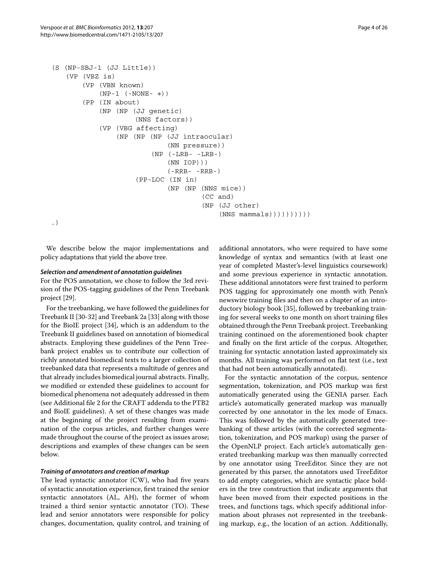```
(S (NP-SBJ-1 (JJ Little))
   (VP (VBZ is)
        (VP (VBN known)
            (NP-1 (-NONE- ∗))
        (PP (IN about)
            (NP (NP (JJ genetic)
                     (NNS factors))
            (VP (VBG affecting)
                (NP (NP (NP (JJ intraocular)
                              (NN pressure))
                         (NP (-LRB - -LRB -)(NN IOP)))
                              (-RRB - -RRB - )(PP-LOC (IN in)
                              (NP (NP (NNS mice))
                                       (CC and)
                                       (NP (JJ other)
                                           (NNS mammals))))))))))
.)
```
We describe below the major implementations and policy adaptations that yield the above tree.

#### *Selection and amendment of annotation guidelines*

For the POS annotation, we chose to follow the 3rd revision of the POS-tagging guidelines of the Penn Treebank project [\[29\]](#page-24-14).

For the treebanking, we have followed the guidelines for Treebank II [\[30-](#page-24-15)[32\]](#page-24-16) and Treebank 2a [\[33\]](#page-24-17) along with those for the BioIE project [\[34\]](#page-24-18), which is an addendum to the Treebank II guidelines based on annotation of biomedical abstracts. Employing these guidelines of the Penn Treebank project enables us to contribute our collection of richly annotated biomedical texts to a larger collection of treebanked data that represents a multitude of genres and that already includes biomedical journal abstracts. Finally, we modified or extended these guidelines to account for biomedical phenomena not adequately addressed in them (see Additional file [2](#page-23-13) for the CRAFT addenda to the PTB2 and BioIE guidelines). A set of these changes was made at the beginning of the project resulting from examination of the corpus articles, and further changes were made throughout the course of the project as issues arose; descriptions and examples of these changes can be seen below.

#### *Training of annotators and creation of markup*

The lead syntactic annotator (CW), who had five years of syntactic annotation experience, first trained the senior syntactic annotators (AL, AH), the former of whom trained a third senior syntactic annotator (TO). These lead and senior annotators were responsible for policy changes, documentation, quality control, and training of additional annotators, who were required to have some knowledge of syntax and semantics (with at least one year of completed Master's-level linguistics coursework) and some previous experience in syntactic annotation. These additional annotators were first trained to perform POS tagging for approximately one month with Penn's newswire training files and then on a chapter of an introductory biology book [\[35\]](#page-24-19), followed by treebanking training for several weeks to one month on short training files obtained through the Penn Treebank project. Treebanking training continued on the aforementioned book chapter and finally on the first article of the corpus. Altogether, training for syntactic annotation lasted approximately six months. All training was performed on flat text (i.e., text that had not been automatically annotated).

For the syntactic annotation of the corpus, sentence segmentation, tokenization, and POS markup was first automatically generated using the GENIA parser. Each article's automatically generated markup was manually corrected by one annotator in the lex mode of Emacs. This was followed by the automatically generated treebanking of these articles (with the corrected segmentation, tokenization, and POS markup) using the parser of the OpenNLP project. Each article's automatically generated treebanking markup was then manually corrected by one annotator using TreeEditor. Since they are not generated by this parser, the annotators used TreeEditor to add empty categories, which are syntactic place holders in the tree construction that indicate arguments that have been moved from their expected positions in the trees, and functions tags, which specify additional information about phrases not represented in the treebanking markup, e.g., the location of an action. Additionally,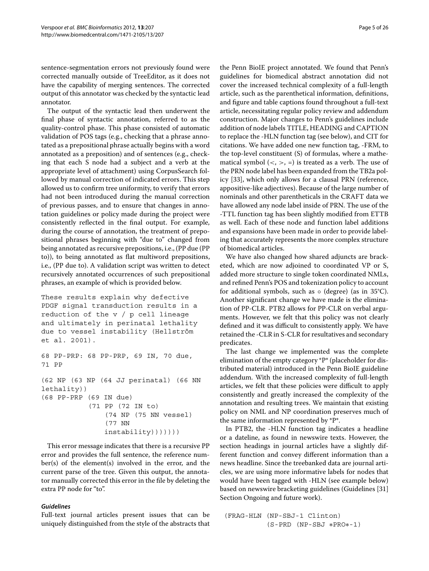sentence-segmentation errors not previously found were corrected manually outside of TreeEditor, as it does not have the capability of merging sentences. The corrected output of this annotator was checked by the syntactic lead annotator.

The output of the syntactic lead then underwent the final phase of syntactic annotation, referred to as the quality-control phase. This phase consisted of automatic validation of POS tags (e.g., checking that a phrase annotated as a prepositional phrase actually begins with a word annotated as a preposition) and of sentences (e.g., checking that each S node had a subject and a verb at the appropriate level of attachment) using CorpusSearch followed by manual correction of indicated errors. This step allowed us to confirm tree uniformity, to verify that errors had not been introduced during the manual correction of previous passes, and to ensure that changes in annotation guidelines or policy made during the project were consistently reflected in the final output. For example, during the course of annotation, the treatment of prepositional phrases beginning with "due to" changed from being annotated as recursive prepositions, i.e., (PP due (PP to)), to being annotated as flat multiword prepositions, i.e., (PP due to). A validation script was written to detect recursively annotated occurrences of such prepositional phrases, an example of which is provided below.

These results explain why defective PDGF signal transduction results in a reduction of the v / p cell lineage and ultimately in perinatal lethality due to vessel instability (Hellström et al. 2001).

```
68 PP-PRP: 68 PP-PRP, 69 IN, 70 due,
71 PP
```
(62 NP (63 NP (64 JJ perinatal) (66 NN lethality)) (68 PP-PRP (69 IN due) (71 PP (72 IN to) (74 NP (75 NN vessel) (77 NN instability))))))))

This error message indicates that there is a recursive PP error and provides the full sentence, the reference number(s) of the element(s) involved in the error, and the current parse of the tree. Given this output, the annotator manually corrected this error in the file by deleting the extra PP node for "to".

#### *Guidelines*

Full-text journal articles present issues that can be uniquely distinguished from the style of the abstracts that the Penn BioIE project annotated. We found that Penn's guidelines for biomedical abstract annotation did not cover the increased technical complexity of a full-length article, such as the parenthetical information, definitions, and figure and table captions found throughout a full-text article, necessitating regular policy review and addendum construction. Major changes to Penn's guidelines include addition of node labels TITLE, HEADING and CAPTION to replace the -HLN function tag (see below), and CIT for citations. We have added one new function tag, -FRM, to the top-level constituent (S) of formulas, where a mathematical symbol  $(<, >, =)$  is treated as a verb. The use of the PRN node label has been expanded from the TB2a policy [\[33\]](#page-24-17), which only allows for a clausal PRN (reference, appositive-like adjectives). Because of the large number of nominals and other parentheticals in the CRAFT data we have allowed any node label inside of PRN. The use of the -TTL function tag has been slightly modified from ETTB as well. Each of these node and function label additions and expansions have been made in order to provide labeling that accurately represents the more complex structure of biomedical articles.

We have also changed how shared adjuncts are bracketed, which are now adjoined to coordinated VP or S, added more structure to single token coordinated NMLs, and refined Penn's POS and tokenization policy to account for additional symbols, such as ◦ (degree) (as in 35°C). Another significant change we have made is the elimination of PP-CLR. PTB2 allows for PP-CLR on verbal arguments. However, we felt that this policy was not clearly defined and it was difficult to consistently apply. We have retained the -CLR in S-CLR for resultatives and secondary predicates.

The last change we implemented was the complete elimination of the empty category \*P\* (placeholder for distributed material) introduced in the Penn BioIE guideline addendum. With the increased complexity of full-length articles, we felt that these policies were difficult to apply consistently and greatly increased the complexity of the annotation and resulting trees. We maintain that existing policy on NML and NP coordination preserves much of the same information represented by \*P\*.

In PTB2, the -HLN function tag indicates a headline or a dateline, as found in newswire texts. However, the section headings in journal articles have a slightly different function and convey different information than a news headline. Since the treebanked data are journal articles, we are using more informative labels for nodes that would have been tagged with -HLN (see example below) based on newswire bracketing guidelines (Guidelines [\[31\]](#page-24-20) Section [Ongoing and future work\)](#page-21-0).

```
(FRAG-HLN (NP-SBJ-1 Clinton)
          (S-PRD (NP-SBJ ∗PRO∗-1)
```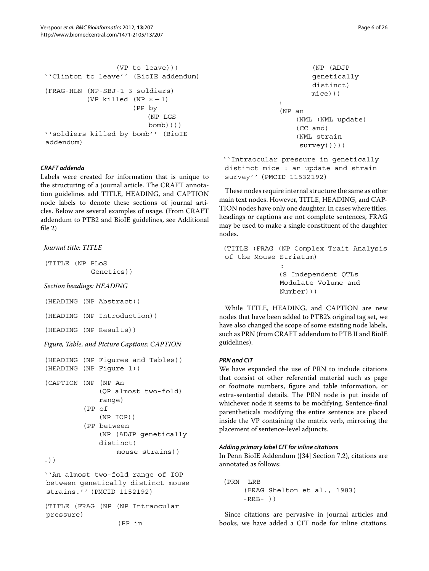```
(VP to leave)))
''Clinton to leave'' (BioIE addendum)
(FRAG-HLN (NP-SBJ-1 3 soldiers)
          (VP killed (NP * - 1)
                     (PP by
                         (NP-LGS
                         bomb))))
''soldiers killed by bomb'' (BioIE
addendum)
```
#### *CRAFT addenda*

Labels were created for information that is unique to the structuring of a journal article. The CRAFT annotation guidelines add TITLE, HEADING, and CAPTION node labels to denote these sections of journal articles. Below are several examples of usage. (From CRAFT addendum to PTB2 and BioIE guidelines, see Additional file [2\)](#page-23-13)

```
Journal title: TITLE
```
(TITLE (NP PLoS Genetics))

*Section headings: HEADING*

```
(HEADING (NP Abstract))
```
(HEADING (NP Introduction))

```
(HEADING (NP Results))
```
*Figure, Table, and Picture Captions: CAPTION*

```
(HEADING (NP Figures and Tables))
(HEADING (NP Figure 1))
(CAPTION (NP (NP An
             (QP almost two-fold)
```

```
range)
(PP of
   (NP IOP))
(PP between
   (NP (ADJP genetically
   distinct)
        mouse strains))
```

```
.))
```
''An almost two-fold range of IOP between genetically distinct mouse strains.'' (PMCID 1152192)

(TITLE (FRAG (NP (NP Intraocular pressure)

```
(NP (ADJP
        genetically
        distinct)
        mice)))
:
(NP an
    (NML (NML update)
    (CC and)
    (NML strain
     survey)))))
```
''Intraocular pressure in genetically distinct mice : an update and strain survey'' (PMCID 11532192)

These nodes require internal structure the same as other main text nodes. However, TITLE, HEADING, and CAP-TION nodes have only one daughter. In cases where titles, headings or captions are not complete sentences, FRAG may be used to make a single constituent of the daughter nodes.

(TITLE (FRAG (NP Complex Trait Analysis of the Mouse Striatum) : (S Independent QTLs Modulate Volume and Number)))

While TITLE, HEADING, and CAPTION are new nodes that have been added to PTB2's original tag set, we have also changed the scope of some existing node labels, such as PRN (from CRAFT addendum to PTB II and BioIE guidelines).

#### *PRN and CIT*

We have expanded the use of PRN to include citations that consist of other referential material such as page or footnote numbers, figure and table information, or extra-sentential details. The PRN node is put inside of whichever node it seems to be modifying. Sentence-final parentheticals modifying the entire sentence are placed inside the VP containing the matrix verb, mirroring the placement of sentence-level adjuncts.

#### *Adding primary label CIT for inline citations*

In Penn BioIE Addendum ([\[34\]](#page-24-18) Section 7.2), citations are annotated as follows:

(PRN -LRB- (FRAG Shelton et al., 1983)  $-RRB- )$ 

Since citations are pervasive in journal articles and books, we have added a CIT node for inline citations.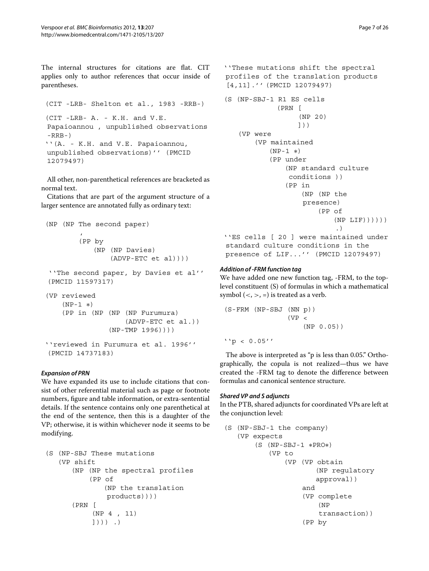The internal structures for citations are flat. CIT applies only to author references that occur inside of parentheses.

```
(CIT -LRB- Shelton et al., 1983 -RRB-)
```
(CIT -LRB- A. - K.H. and V.E. Papaioannou , unpublished observations  $-RRB-$ ''(A. - K.H. and V.E. Papaioannou, unpublished observations)'' (PMCID 12079497)

All other, non-parenthetical references are bracketed as normal text.

Citations that are part of the argument structure of a larger sentence are annotated fully as ordinary text:

```
(NP (NP The second paper)
        ,
        (PP by
           (NP (NP Davies)
                (ADVP-ETC et al))))
''The second paper, by Davies et al''
(PMCID 11597317)
```

```
(VP reviewed
   (NP-1 * )(PP in (NP (NP (NP Furumura)
                   (ADVP-ETC et al.))
               (NP-TMP 1996))))
```
''reviewed in Furumura et al. 1996'' (PMCID 14737183)

## *Expansion of PRN*

We have expanded its use to include citations that consist of other referential material such as page or footnote numbers, figure and table information, or extra-sentential details. If the sentence contains only one parenthetical at the end of the sentence, then this is a daughter of the VP; otherwise, it is within whichever node it seems to be modifying.

```
(S (NP-SBJ These mutations
   (VP shift
      (NP (NP the spectral profiles
          (PP of
              (NP the translation
              products))))
      (PRN [
           (NP 4 , 11)
           |)) .)
```
''These mutations shift the spectral profiles of the translation products [4,11].'' (PMCID 12079497)

```
(S (NP-SBJ-1 R1 ES cells
             (PRN [
                  (NP 20)
                  ]))
   (VP were
       (VP maintained
           (NP-1 * )(PP under
               (NP standard culture
               conditions ))
               (PP in
                   (NP (NP the
                   presence)
                       (PP of
                           (NP LIF)))).)
''ES cells [ 20 ] were maintained under
standard culture conditions in the
```
## *Addition of -FRM function tag*

We have added one new function tag, -FRM, to the toplevel constituent (S) of formulas in which a mathematical symbol  $(<, >, =)$  is treated as a verb.

presence of LIF...'' (PMCID 12079497)

```
(S-FRM (NP-SBJ (NN p))
                (VP <(NP 0.05))
''p < 0.05''
```
The above is interpreted as "p is less than 0.05." Orthographically, the copula is not realized—thus we have created the -FRM tag to denote the difference between formulas and canonical sentence structure.

#### *Shared VP and S adjuncts*

In the PTB, shared adjuncts for coordinated VPs are left at the conjunction level:

```
(S (NP-SBJ-1 the company)
   (VP expects
       (S (NP-SBJ-1 ∗PRO∗)
           (VP to
               (VP (VP obtain
                       (NP regulatory
                       approval))
                   and
                   (VP complete
                       (NP
                       transaction))
                   (PP by
```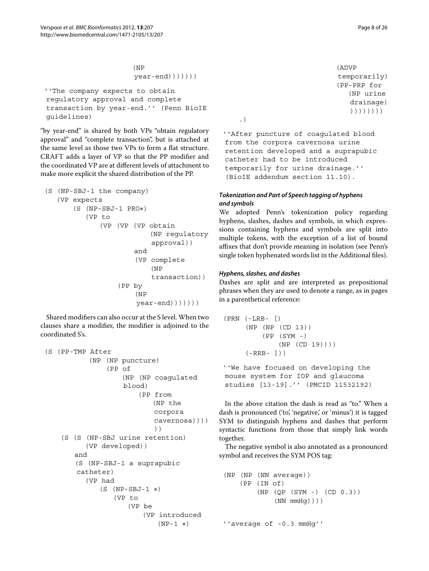```
(NP
year-end)))))))
```
''The company expects to obtain regulatory approval and complete transaction by year-end.'' (Penn BioIE guidelines)

"by year-end" is shared by both VPs "obtain regulatory approval" and "complete transaction", but is attached at the same level as those two VPs to form a flat structure. CRAFT adds a layer of VP so that the PP modifier and the coordinated VP are at different levels of attachment to make more explicit the shared distribution of the PP.

```
(S (NP-SBJ-1 the company)
   (VP expects
       (S (NP-SBJ-1 PRO∗)
          (VP to
             (VP (VP (VP obtain
                          (NP regulatory
                           approval))
                      and
                      (VP complete
                           (NP
                           transaction))
                  (PP by
                       (NP
                       year-end)))))))
```
Shared modifiers can also occur at the S level. When two clauses share a modifier, the modifier is adjoined to the coordinated S's.

```
(S (PP-TMP After
           (NP (NP puncture)
               (PP of
                   (NP (NP coagulated
                   blood)
                       (PP from
                           (NP the
                           corpora
                           cavernosa))))
                           ))
    (S (S (NP-SBJ urine retention)
          (VP developed))
       and
       (S (NP-SBJ-1 a suprapubic
       catheter)
          (VP had
             (S (NP-SBJ-1 ∗)
                 (VP to
                     (VP be
                         (VP introduced
                            (NP-1 * )
```

```
(ADVP
temporarily)
(PP-PRP for
   (NP urine
   drainage)
   ))))))))
```
.)

''After puncture of coagulated blood from the corpora cavernosa urine retention developed and a suprapubic catheter had to be introduced temporarily for urine drainage.'' (BioIE addendum section 11.10).

## *Tokenization and Part of Speech tagging of hyphens and symbols*

We adopted Penn's tokenization policy regarding hyphens, slashes, dashes and symbols, in which expressions containing hyphens and symbols are split into multiple tokens, with the exception of a list of bound affixes that don't provide meaning in isolation (see Penn's single token hyphenated words list in the Additional files).

## *Hyphens, slashes, and dashes*

Dashes are split and are interpreted as prepositional phrases when they are used to denote a range, as in pages in a parenthetical reference:

```
(PRN (-LRB- [)
     (NP (NP (CD 13))
         (PP (SYM -)
             (NP (CD 19))))
     (-RRB- 1))
```
''We have focused on developing the mouse system for IOP and glaucoma studies [13-19].'' (PMCID 11532192)

In the above citation the dash is read as "to." When a dash is pronounced ('to', 'negative', or 'minus') it is tagged SYM to distinguish hyphens and dashes that perform syntactic functions from those that simply link words together.

The negative symbol is also annotated as a pronounced symbol and receives the SYM POS tag:

```
(NP (NP (NN average))
    (PP (IN of)
        (NP (QP (SYM -) (CD 0.3))
            (NN mmHg))))
''average of -0.3 mmHg''
```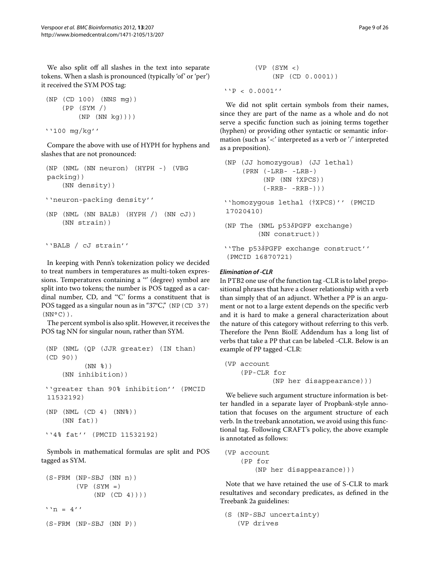We also split off all slashes in the text into separate tokens. When a slash is pronounced (typically 'of' or 'per') it received the SYM POS tag:

```
(NP (CD 100) (NNS mg))
   (PP (SYM /)
       (NP (NN kg))))
```

```
''100 mg/kg''
```
Compare the above with use of HYPH for hyphens and slashes that are not pronounced:

```
(NP (NML (NN neuron) (HYPH -) (VBG
packing))
   (NN density))
''neuron-packing density''
(NP (NML (NN BALB) (HYPH /) (NN cJ))
   (NN strain))
```

```
''BALB / cJ strain''
```
In keeping with Penn's tokenization policy we decided to treat numbers in temperatures as multi-token expressions. Temperatures containing a " (degree) symbol are split into two tokens; the number is POS tagged as a cardinal number, CD, and '°C' forms a constituent that is POS tagged as a singular noun as in "37 $^{\circ}$ C," (NP (CD 37)  $(NN^oC)$ ).

The percent symbol is also split. However, it receives the POS tag NN for singular noun, rather than SYM.

```
(NP (NML (QP (JJR greater) (IN than)
(CD 90))
         (NN %))
   (NN inhibition))
''greater than 90% inhibition'' (PMCID
11532192)
(NP (NML (CD 4) (NN%))
   (NN fat))
''4% fat'' (PMCID 11532192)
```
Symbols in mathematical formulas are split and POS tagged as SYM.

```
(S-FRM (NP-SBJ (NN n))
       (VP (SYM =))(NP (CD 4)))'n = 4''
(S-FRM (NP-SBJ (NN P))
```
(VP (SYM <) (NP (CD 0.0001))

```
''P < 0.0001''
```
We did not split certain symbols from their names, since they are part of the name as a whole and do not serve a specific function such as joining terms together (hyphen) or providing other syntactic or semantic information (such as '<' interpreted as a verb or '/' interpreted as a preposition).

```
(NP (JJ homozygous) (JJ lethal)
    (PRN (-LRB- -LRB-)
         (NP (NN †XPCS))
         (-RRB - RRB-))''homozygous lethal (†XPCS)'' (PMCID
17020410)
(NP The (NML p53\delta PGFP exchange)
        (NN construct))
''The p53δPGFP exchange construct''
(PMCID 16870721)
```
## *Elimination of -CLR*

In PTB2 one use of the function tag -CLR is to label prepositional phrases that have a closer relationship with a verb than simply that of an adjunct. Whether a PP is an argument or not to a large extent depends on the specific verb and it is hard to make a general characterization about the nature of this category without referring to this verb. Therefore the Penn BioIE Addendum has a long list of verbs that take a PP that can be labeled -CLR. Below is an example of PP tagged -CLR:

```
(VP account
    (PP-CLR for
           (NP her disappearance)))
```
We believe such argument structure information is better handled in a separate layer of Propbank-style annotation that focuses on the argument structure of each verb. In the treebank annotation, we avoid using this functional tag. Following CRAFT's policy, the above example is annotated as follows:

(VP account (PP for (NP her disappearance)))

Note that we have retained the use of S-CLR to mark resultatives and secondary predicates, as defined in the Treebank 2a guidelines:

```
(S (NP-SBJ uncertainty)
   (VP drives
```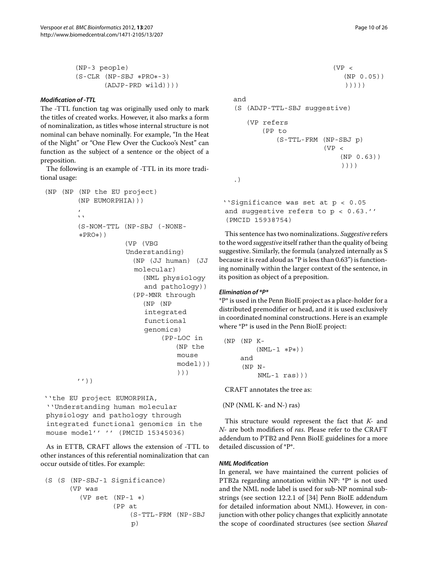```
(NP-3 people)
(S-CLR (NP-SBJ ∗PRO∗-3)
       (ADJP-PRD wild))))
```
## *Modification of -TTL*

The -TTL function tag was originally used only to mark the titles of created works. However, it also marks a form of nominalization, as titles whose internal structure is not nominal can behave nominally. For example, "In the Heat of the Night" or "One Flew Over the Cuckoo's Nest" can function as the subject of a sentence or the object of a preposition.

The following is an example of -TTL in its more traditional usage:

```
(NP (NP (NP the EU project)
        (NP EUMORPHIA)))
        ,
        \mathbf{v}(S-NOM-TTL (NP-SBJ (-NONE-
        ∗PRO∗))
                    (VP (VBG
                    Understanding)
                      (NP (JJ human) (JJ
                       molecular)
                         (NML physiology
                         and pathology))
                      (PP-MNR through
                         (NP (NP
                         integrated
                         functional
                         genomics)
                              (PP-LOC in
                                  (NP the
                                  mouse
                                  model)))
                                  )))
        ''))
```
''the EU project EUMORPHIA, ''Understanding human molecular physiology and pathology through integrated functional genomics in the mouse model'' '' (PMCID 15345036)

As in ETTB, CRAFT allows the extension of -TTL to other instances of this referential nominalization that can occur outside of titles. For example:

```
(S (S (NP-SBJ-1 Significance)
      (VP was
        (VP set (NP-1 ∗)
                 (PP at
                     (S-TTL-FRM (NP-SBJ
                     p)
```

```
(VP <(NP 0.05))
                              )))))
  and
  (S (ADJP-TTL-SBJ suggestive)
      (VP refers
         (PP to
             (S-TTL-FRM (NP-SBJ p)
                         (VP <(NP 0.63))
                             ))))
  .)
''Significance was set at p < 0.05
```
and suggestive refers to  $p < 0.63.'$ (PMCID 15938754)

This sentence has two nominalizations. *Suggestive* refers to the word *suggestive* itself rather than the quality of being suggestive. Similarly, the formula (analyzed internally as S because it is read aloud as "P is less than 0.63") is functioning nominally within the larger context of the sentence, in its position as object of a preposition.

#### *Elimination of \*P\**

\*P\* is used in the Penn BioIE project as a place-holder for a distributed premodifier or head, and it is used exclusively in coordinated nominal constructions. Here is an example where \*P\* is used in the Penn BioIE project:

```
(NP (NP K-
        (NML-1 ∗P∗))
    and
    (NP N-
        NML-1 ras)))
```
CRAFT annotates the tree as:

```
(NP (NML K- and N-) ras)
```
This structure would represent the fact that *K-* and *N-* are both modifiers of *ras*. Please refer to the CRAFT addendum to PTB2 and Penn BioIE guidelines for a more detailed discussion of \*P\*.

#### *NML Modification*

In general, we have maintained the current policies of PTB2a regarding annotation within NP: \*P\* is not used and the NML node label is used for sub-NP nominal substrings (see section 12.2.1 of [\[34\]](#page-24-18) Penn BioIE addendum for detailed information about NML). However, in conjunction with other policy changes that explicitly annotate the scope of coordinated structures (see section *Shared*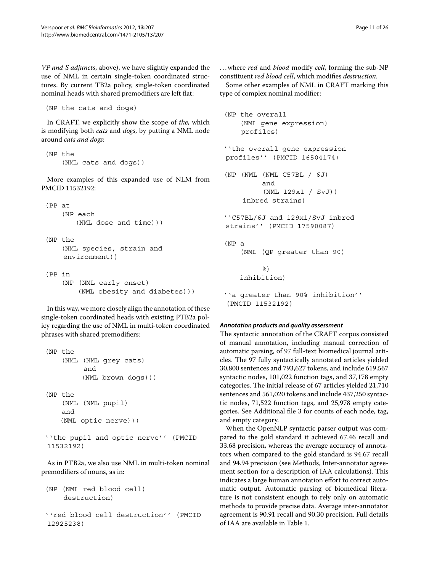*VP and S adjuncts*, above), we have slightly expanded the use of NML in certain single-token coordinated structures. By current TB2a policy, single-token coordinated nominal heads with shared premodifiers are left flat:

(NP the cats and dogs)

In CRAFT, we explicitly show the scope of *the*, which is modifying both *cats* and *dogs*, by putting a NML node around *cats and dogs*:

```
(NP the
    (NML cats and dogs))
```
More examples of this expanded use of NLM from PMCID 11532192:

```
(PP at
    (NP each
       (NML dose and time)))
```

```
(NP the
   (NML species, strain and
    environment))
```

```
(PP in
   (NP (NML early onset)
        (NML obesity and diabetes)))
```
In this way, we more closely align the annotation of these single-token coordinated heads with existing PTB2a policy regarding the use of NML in multi-token coordinated phrases with shared premodifiers:

```
(NP the
    (NML (NML grey cats)
         and
         (NML brown dogs)))
(NP the
   (NML (NML pupil)
   and
   (NML optic nerve)))
''the pupil and optic nerve'' (PMCID
11532192)
```
As in PTB2a, we also use NML in multi-token nominal premodifiers of nouns, as in:

```
(NP (NML red blood cell)
    destruction)
''red blood cell destruction'' (PMCID
12925238)
```
. . . where *red* and *blood* modify *cell*, forming the sub-NP constituent *red blood cell*, which modifies *destruction*.

Some other examples of NML in CRAFT marking this type of complex nominal modifier:

```
(NP the overall
    (NML gene expression)
   profiles)
''the overall gene expression
profiles'' (PMCID 16504174)
(NP (NML (NML C57BL / 6J)
         and
         (NML 129x1 / SvJ))
    inbred strains)
''C57BL/6J and 129x1/SvJ inbred
strains'' (PMCID 17590087)
(NP a
    (NML (QP greater than 90)
         %)
   inhibition)
''a greater than 90% inhibition''
(PMCID 11532192)
```
## *Annotation products and quality assessment*

The syntactic annotation of the CRAFT corpus consisted of manual annotation, including manual correction of automatic parsing, of 97 full-text biomedical journal articles. The 97 fully syntactically annotated articles yielded 30,800 sentences and 793,627 tokens, and include 619,567 syntactic nodes, 101,022 function tags, and 37,178 empty categories. The initial release of 67 articles yielded 21,710 sentences and 561,020 tokens and include 437,250 syntactic nodes, 71,522 function tags, and 25,978 empty categories. See Additional file [3](#page-23-14) for counts of each node, tag, and empty category.

When the OpenNLP syntactic parser output was compared to the gold standard it achieved 67.46 recall and 33.68 precision, whereas the average accuracy of annotators when compared to the gold standard is 94.67 recall and 94.94 precision (see Methods, Inter-annotator agreement [section](#page-22-0) [for](#page-22-0) [a](#page-22-0) [description](#page-22-0) [of](#page-22-0) [I](#page-22-0)AA calculations). This indicates a large human annotation effort to correct automatic output. Automatic parsing of biomedical literature is not consistent enough to rely only on automatic methods to provide precise data. Average inter-annotator agreement is 90.91 recall and 90.30 precision. Full details of IAA are available in Table [1.](#page-11-0)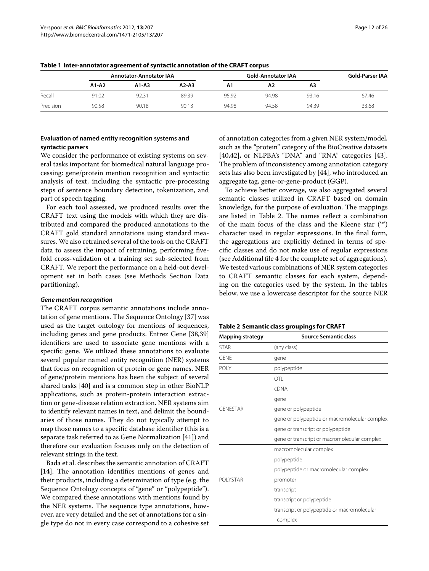|           |       | <b>Annotator-Annotator IAA</b> |         | <b>Gold-Annotator IAA</b> | <b>Gold-Parser IAA</b> |       |       |
|-----------|-------|--------------------------------|---------|---------------------------|------------------------|-------|-------|
|           | A1-A2 | $A1-A3$                        | $A2-A3$ | A1                        | Α2                     | Α3    |       |
| Recall    | 91.02 | 92.31                          | 89.39   | 95.92                     | 94.98                  | 93.16 | 67.46 |
| Precision | 90.58 | 90.18                          | 90.13   | 94.98                     | 94.58                  | 94.39 | 33.68 |

<span id="page-11-0"></span>**Table 1 Inter-annotator agreement of syntactic annotation of the CRAFT corpus**

## **Evaluation of named entity recognition systems and syntactic parsers**

We consider the performance of existing systems on several tasks important for biomedical natural language processing: gene/protein mention recognition and syntactic analysis of text, including the syntactic pre-processing steps of sentence boundary detection, tokenization, and part of speech tagging.

For each tool assessed, we produced results over the CRAFT text using the models with which they are distributed and compared the produced annotations to the CRAFT gold standard annotations using standard measures.We also retrained several of the tools on the CRAFT data to assess the impact of retraining, performing fivefold cross-validation of a training set sub-selected from CRAFT. We report the performance on a held-out development set in both cases (see Methods Section Data partitioning).

#### *Gene mention recognition*

The CRAFT corpus semantic annotations include annotation of gene mentions. The Sequence Ontology [\[37\]](#page-24-21) was used as the target ontology for mentions of sequences, including genes and gene products. Entrez Gene [\[38](#page-24-22)[,39\]](#page-24-23) identifiers are used to associate gene mentions with a specific gene. We utilized these annotations to evaluate several popular named entity recognition (NER) systems that focus on recognition of protein or gene names. NER of gene/protein mentions has been the subject of several shared tasks [\[40\]](#page-24-24) and is a common step in other BioNLP applications, such as protein-protein interaction extraction or gene-disease relation extraction. NER systems aim to identify relevant names in text, and delimit the boundaries of those names. They do not typically attempt to map those names to a specific database identifier (this is a separate task referred to as Gene Normalization [\[41\]](#page-24-25)) and therefore our evaluation focuses only on the detection of relevant strings in the text.

Bada et al. describes the semantic annotation of CRAFT [\[14\]](#page-23-11). The annotation identifies mentions of genes and their products, including a determination of type (e.g. the Sequence Ontology concepts of "gene" or "polypeptide"). We compared these annotations with mentions found by the NER systems. The sequence type annotations, however, are very detailed and the set of annotations for a single type do not in every case correspond to a cohesive set of annotation categories from a given NER system/model, such as the "protein" category of the BioCreative datasets [\[40,](#page-24-24)[42\]](#page-24-26), or NLPBA's "DNA" and "RNA" categories [\[43\]](#page-24-27). The problem of inconsistency among annotation category sets has also been investigated by [\[44\]](#page-24-28), who introduced an aggregate tag, gene-or-gene-product (GGP).

To achieve better coverage, we also aggregated several semantic classes utilized in CRAFT based on domain knowledge, for the purpose of evaluation. The mappings are listed in Table [2.](#page-11-1) The names reflect a combination of the main focus of the class and the Kleene star ('\*') character used in regular expressions. In the final form, the aggregations are explicitly defined in terms of specific classes and do not make use of regular expressions (see Additional file [4](#page-23-15) for the complete set of aggregations). We tested various combinations of NER system categories to CRAFT semantic classes for each system, depending on the categories used by the system. In the tables below, we use a lowercase descriptor for the source NER

<span id="page-11-1"></span>

| Table 2 Semantic class groupings for CRAFT |  |  |
|--------------------------------------------|--|--|
|--------------------------------------------|--|--|

| <b>Mapping strategy</b> | <b>Source Semantic class</b>                  |
|-------------------------|-----------------------------------------------|
| <b>STAR</b>             | (any class)                                   |
| GENE                    | gene                                          |
| <b>POLY</b>             | polypeptide                                   |
|                         | OTL                                           |
|                         | <b>CDNA</b>                                   |
|                         | gene                                          |
| <b>GENESTAR</b>         | gene or polypeptide                           |
|                         | gene or polypeptide or macromolecular complex |
|                         | gene or transcript or polypeptide             |
|                         | gene or transcript or macromolecular complex  |
|                         | macromolecular complex                        |
|                         | polypeptide                                   |
|                         | polypeptide or macromolecular complex         |
| POI YSTAR               | promoter                                      |
|                         | transcript                                    |
|                         | transcript or polypeptide                     |
|                         | transcript or polypeptide or macromolecular   |
|                         | complex                                       |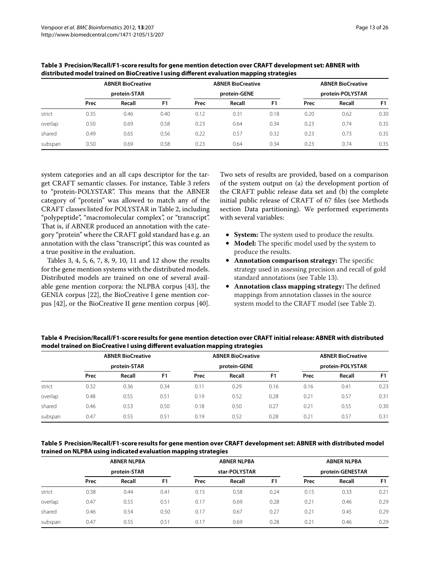|         | -<br>-       |                          |                |                          |        |                |                          |        |      |  |
|---------|--------------|--------------------------|----------------|--------------------------|--------|----------------|--------------------------|--------|------|--|
|         |              | <b>ABNER BioCreative</b> |                | <b>ABNER BioCreative</b> |        |                | <b>ABNER BioCreative</b> |        |      |  |
|         | protein-STAR |                          |                | protein-GENE             |        |                | protein-POLYSTAR         |        |      |  |
|         | Prec         | Recall                   | F <sub>1</sub> | Prec                     | Recall | F <sub>1</sub> | Prec                     | Recall | F1   |  |
| strict  | 0.35         | 0.46                     | 0.40           | 0.12                     | 0.31   | 0.18           | 0.20                     | 0.62   | 0.30 |  |
| overlap | 0.50         | 0.69                     | 0.58           | 0.23                     | 0.64   | 0.34           | 0.23                     | 0.74   | 0.35 |  |
| shared  | 0.49         | 0.65                     | 0.56           | 0.22                     | 0.57   | 0.32           | 0.23                     | 0.73   | 0.35 |  |
| subspan | 0.50         | 0.69                     | 0.58           | 0.23                     | 0.64   | 0.34           | 0.23                     | 0.74   | 0.35 |  |

<span id="page-12-0"></span>**Table 3 Precision/Recall/F1-score results for gene mention detection over CRAFT development set: ABNER with distributed model trained on BioCreative I using different evaluation mapping strategies**

system categories and an all caps descriptor for the target CRAFT semantic classes. For instance, Table [3](#page-12-0) refers to "protein-POLYSTAR". This means that the ABNER category of "protein" was allowed to match any of the CRAFT classes listed for POLYSTAR in Table [2,](#page-11-1) including "polypeptide", "macromolecular complex", or "transcript". That is, if ABNER produced an annotation with the category "protein" where the CRAFT gold standard has e.g. an annotation with the class "transcript", this was counted as a true positive in the evaluation.

Tables [3,](#page-12-0) [4,](#page-12-1) [5,](#page-12-2) [6,](#page-13-0) [7,](#page-13-1) [8,](#page-13-2) [9,](#page-14-0) [10,](#page-14-1) [11](#page-14-2) and [12](#page-15-0) show the results for the gene mention systems with the distributed models. Distributed models are trained on one of several available gene mention corpora: the NLPBA corpus [\[43\]](#page-24-27), the GENIA corpus [\[22\]](#page-24-7), the BioCreative I gene mention corpus [\[42\]](#page-24-26), or the BioCreative II gene mention corpus [\[40\]](#page-24-24).

Two sets of results are provided, based on a comparison of the system output on (a) the development portion of the CRAFT public release data set and (b) the complete initial public release of CRAFT of 67 files (see Methods section Data partitioning). We performed experiments with several variables:

- **System:** The system used to produce the results.
- **Model:** The specific model used by the system to produce the results.
- **Annotation comparison strategy:** The specific strategy used in assessing precision and recall of gold standard annotations (see Table [13\)](#page-15-1).
- **Annotation class mapping strategy:** The defined mappings from annotation classes in the source system model to the CRAFT model (see Table [2\)](#page-11-1).

<span id="page-12-1"></span>

| Table 4 Precision/Recall/F1-score results for gene mention detection over CRAFT initial release: ABNER with distributed |
|-------------------------------------------------------------------------------------------------------------------------|
| model trained on BioCreative I using different evaluation mapping strategies                                            |

|         | <b>ABNER BioCreative</b><br>protein-STAR |        |                | <b>ABNER BioCreative</b><br>protein-GENE |        |                | <b>ABNER BioCreative</b><br>protein-POLYSTAR |        |      |
|---------|------------------------------------------|--------|----------------|------------------------------------------|--------|----------------|----------------------------------------------|--------|------|
|         |                                          |        |                |                                          |        |                |                                              |        |      |
|         | Prec                                     | Recall | F <sub>1</sub> | Prec                                     | Recall | F <sub>1</sub> | Prec                                         | Recall | F1   |
| strict  | 0.32                                     | 0.36   | 0.34           | 0.11                                     | 0.29   | 0.16           | 0.16                                         | 0.41   | 0.23 |
| overlap | 0.48                                     | 0.55   | 0.51           | 0.19                                     | 0.52   | 0.28           | 0.21                                         | 0.57   | 0.31 |
| shared  | 0.46                                     | 0.53   | 0.50           | 0.18                                     | 0.50   | 0.27           | 0.21                                         | 0.55   | 0.30 |
| subspan | 0.47                                     | 0.55   | 0.51           | 0.19                                     | 0.52   | 0.28           | 0.21                                         | 0.57   | 0.31 |

<span id="page-12-2"></span>**Table 5 Precision/Recall/F1-score results for gene mention over CRAFT development set: ABNER with distributed model trained on NLPBA using indicated evaluation mapping strategies**

|         | <b>ABNER NLPBA</b><br>protein-STAR |        |      | <b>ABNER NLPBA</b><br>star-POLYSTAR |        |      | <b>ABNER NLPBA</b> |        |      |  |
|---------|------------------------------------|--------|------|-------------------------------------|--------|------|--------------------|--------|------|--|
|         |                                    |        |      |                                     |        |      | protein-GENESTAR   |        |      |  |
|         | Prec                               | Recall | F1   | Prec                                | Recall | F1   | Prec               | Recall | F1   |  |
| strict  | 0.38                               | 0.44   | 0.41 | 0.15                                | 0.58   | 0.24 | 0.15               | 0.33   | 0.21 |  |
| overlap | 0.47                               | 0.55   | 0.51 | 0.17                                | 0.69   | 0.28 | 0.21               | 0.46   | 0.29 |  |
| shared  | 0.46                               | 0.54   | 0.50 | 0.17                                | 0.67   | 0.27 | 0.21               | 0.45   | 0.29 |  |
| subspan | 0.47                               | 0.55   | 0.51 | 0.17                                | 0.69   | 0.28 | 0.21               | 0.46   | 0.29 |  |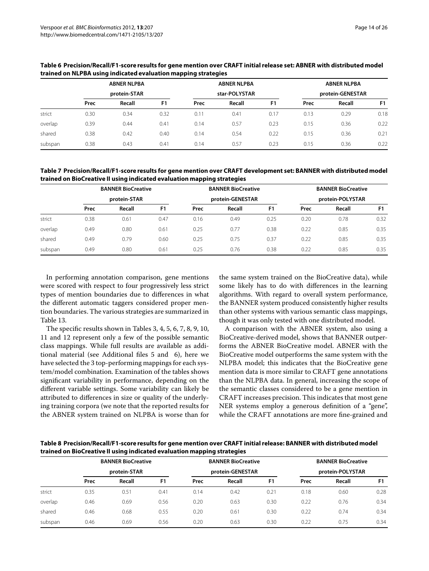|         | <b>ABNER NLPBA</b><br>protein-STAR |        |      | <b>ABNER NLPBA</b><br>star-POLYSTAR |        |                | <b>ABNER NLPBA</b><br>protein-GENESTAR |        |                |  |  |  |
|---------|------------------------------------|--------|------|-------------------------------------|--------|----------------|----------------------------------------|--------|----------------|--|--|--|
|         |                                    |        |      |                                     |        |                |                                        |        |                |  |  |  |
|         | Prec                               | Recall | F1   | Prec                                | Recall | F <sub>1</sub> | Prec                                   | Recall | F <sub>1</sub> |  |  |  |
| strict  | 0.30                               | 0.34   | 0.32 | 0.11                                | 0.41   | 0.17           | 0.13                                   | 0.29   | 0.18           |  |  |  |
| overlap | 0.39                               | 0.44   | 0.41 | 0.14                                | 0.57   | 0.23           | 0.15                                   | 0.36   | 0.22           |  |  |  |
| shared  | 0.38                               | 0.42   | 0.40 | 0.14                                | 0.54   | 0.22           | 0.15                                   | 0.36   | 0.21           |  |  |  |
| subspan | 0.38                               | 0.43   | 0.41 | 0.14                                | 0.57   | 0.23           | 0.15                                   | 0.36   | 0.22           |  |  |  |

<span id="page-13-0"></span>**Table 6 Precision/Recall/F1-score results for gene mention over CRAFT initial release set: ABNER with distributed model trained on NLPBA using indicated evaluation mapping strategies**

<span id="page-13-1"></span>

| Table 7 Precision/Recall/F1-score results for gene mention over CRAFT development set: BANNER with distributed model |
|----------------------------------------------------------------------------------------------------------------------|
| trained on BioCreative II using indicated evaluation mapping strategies                                              |

|         | <b>BANNER BioCreative</b><br>protein-STAR |        |                | <b>BANNER BioCreative</b><br>protein-GENESTAR |        |                | <b>BANNER BioCreative</b> |        |                |
|---------|-------------------------------------------|--------|----------------|-----------------------------------------------|--------|----------------|---------------------------|--------|----------------|
|         |                                           |        |                |                                               |        |                | protein-POLYSTAR          |        |                |
|         | Prec                                      | Recall | F <sub>1</sub> | Prec                                          | Recall | F <sub>1</sub> | Prec                      | Recall | F <sub>1</sub> |
| strict  | 0.38                                      | 0.61   | 0.47           | 0.16                                          | 0.49   | 0.25           | 0.20                      | 0.78   | 0.32           |
| overlap | 0.49                                      | 0.80   | 0.61           | 0.25                                          | 0.77   | 0.38           | 0.22                      | 0.85   | 0.35           |
| shared  | 0.49                                      | 0.79   | 0.60           | 0.25                                          | 0.75   | 0.37           | 0.22                      | 0.85   | 0.35           |
| subspan | 0.49                                      | 0.80   | 0.61           | 0.25                                          | 0.76   | 0.38           | 0.22                      | 0.85   | 0.35           |

In performing annotation comparison, gene mentions were scored with respect to four progressively less strict types of mention boundaries due to differences in what the different automatic taggers considered proper mention boundaries. The various strategies are summarized in Table [13.](#page-15-1)

The specific results shown in Tables [3,](#page-12-0) [4,](#page-12-1) [5,](#page-12-2) [6,](#page-13-0) [7,](#page-13-1) [8,](#page-13-2) [9,](#page-14-0) [10,](#page-14-1) [11](#page-14-2) and [12](#page-15-0) represent only a few of the possible semantic class mappings. While full results are available as additional material (see Additional files [5](#page-23-16) and [6\)](#page-23-17), here we have selected the 3 top-performing mappings for each system/model combination. Examination of the tables shows significant variability in performance, depending on the different variable settings. Some variability can likely be attributed to differences in size or quality of the underlying training corpora (we note that the reported results for the ABNER system trained on NLPBA is worse than for the same system trained on the BioCreative data), while some likely has to do with differences in the learning algorithms. With regard to overall system performance, the BANNER system produced consistently higher results than other systems with various semantic class mappings, though it was only tested with one distributed model.

A comparison with the ABNER system, also using a BioCreative-derived model, shows that BANNER outperforms the ABNER BioCreative model. ABNER with the BioCreative model outperforms the same system with the NLPBA model; this indicates that the BioCreative gene mention data is more similar to CRAFT gene annotations than the NLPBA data. In general, increasing the scope of the semantic classes considered to be a gene mention in CRAFT increases precision. This indicates that most gene NER systems employ a generous definition of a "gene", while the CRAFT annotations are more fine-grained and

<span id="page-13-2"></span>**Table 8 Precision/Recall/F1-score results for gene mention over CRAFT initial release: BANNER with distributed model trained on BioCreative II using indicated evaluation mapping strategies**

|         |                                           | -      |                |                                               | -      |      |                                               |        |                |
|---------|-------------------------------------------|--------|----------------|-----------------------------------------------|--------|------|-----------------------------------------------|--------|----------------|
|         | <b>BANNER BioCreative</b><br>protein-STAR |        |                | <b>BANNER BioCreative</b><br>protein-GENESTAR |        |      | <b>BANNER BioCreative</b><br>protein-POLYSTAR |        |                |
|         |                                           |        |                |                                               |        |      |                                               |        |                |
|         | Prec                                      | Recall | F <sub>1</sub> | Prec                                          | Recall | F1   | Prec                                          | Recall | F <sub>1</sub> |
| strict  | 0.35                                      | 0.51   | 0.41           | 0.14                                          | 0.42   | 0.21 | 0.18                                          | 0.60   | 0.28           |
| overlap | 0.46                                      | 0.69   | 0.56           | 0.20                                          | 0.63   | 0.30 | 0.22                                          | 0.76   | 0.34           |
| shared  | 0.46                                      | 0.68   | 0.55           | 0.20                                          | 0.61   | 0.30 | 0.22                                          | 0.74   | 0.34           |
| subspan | 0.46                                      | 0.69   | 0.56           | 0.20                                          | 0.63   | 0.30 | 0.22                                          | 0.75   | 0.34           |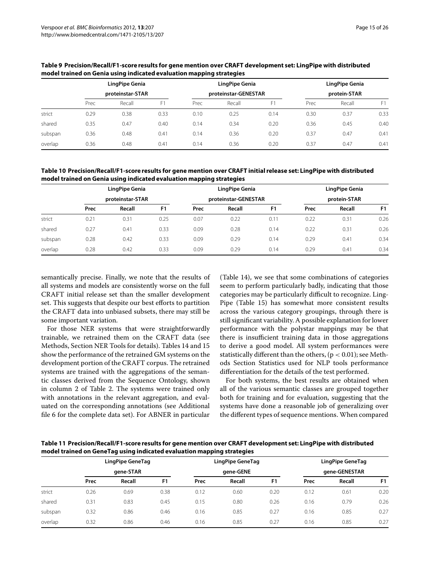|         |                  | LingPipe Genia |      |                      | LingPipe Genia |                |              | LingPipe Genia |      |  |
|---------|------------------|----------------|------|----------------------|----------------|----------------|--------------|----------------|------|--|
|         | proteinstar-STAR |                |      | proteinstar-GENESTAR |                |                | protein-STAR |                |      |  |
|         | Prec             | Recall         | F1   | Prec                 | Recall         | F <sub>1</sub> | Prec         | Recall         | F٠   |  |
| strict  | 0.29             | 0.38           | 0.33 | 0.10                 | 0.25           | 0.14           | 0.30         | 0.37           | 0.33 |  |
| shared  | 0.35             | 0.47           | 0.40 | 0.14                 | 0.34           | 0.20           | 0.36         | 0.45           | 0.40 |  |
| subspan | 0.36             | 0.48           | 0.41 | 0.14                 | 0.36           | 0.20           | 0.37         | 0.47           | 0.41 |  |
| overlap | 0.36             | 0.48           | 0.41 | 0.14                 | 0.36           | 0.20           | 0.37         | 0.47           | 0.41 |  |

<span id="page-14-0"></span>**Table 9 Precision/Recall/F1-score results for gene mention over CRAFT development set: LingPipe with distributed model trained on Genia using indicated evaluation mapping strategies**

<span id="page-14-1"></span>

| Table 10 Precision/Recall/F1-score results for gene mention over CRAFT initial release set: LingPipe with distributed |
|-----------------------------------------------------------------------------------------------------------------------|
| model trained on Genia using indicated evaluation mapping strategies                                                  |

|         | LingPipe Genia<br>proteinstar-STAR |        |                |      | LingPipe Genia       |                | LingPipe Genia<br>protein-STAR |        |                |  |
|---------|------------------------------------|--------|----------------|------|----------------------|----------------|--------------------------------|--------|----------------|--|
|         |                                    |        |                |      | proteinstar-GENESTAR |                |                                |        |                |  |
|         | Prec                               | Recall | F <sub>1</sub> | Prec | Recall               | F <sub>1</sub> | Prec                           | Recall | F <sub>1</sub> |  |
| strict  | 0.21                               | 0.31   | 0.25           | 0.07 | 0.22                 | 0.11           | 0.22                           | 0.31   | 0.26           |  |
| shared  | 0.27                               | 0.41   | 0.33           | 0.09 | 0.28                 | 0.14           | 0.22                           | 0.31   | 0.26           |  |
| subspan | 0.28                               | 0.42   | 0.33           | 0.09 | 0.29                 | 0.14           | 0.29                           | 0.41   | 0.34           |  |
| overlap | 0.28                               | 0.42   | 0.33           | 0.09 | 0.29                 | 0.14           | 0.29                           | 0.41   | 0.34           |  |

semantically precise. Finally, we note that the results of all systems and models are consistently worse on the full CRAFT initial release set than the smaller development set. This suggests that despite our best efforts to partition the CRAFT data into unbiased subsets, there may still be some important variation.

For those NER systems that were straightforwardly trainable, we retrained them on the CRAFT data (see Methods, Section NER Tools for details). Tables [14](#page-16-0) and [15](#page-16-1) show the performance of the retrained GM systems on the development portion of the CRAFT corpus. The retrained systems are trained with the aggregations of the semantic classes derived from the Sequence Ontology, shown in column 2 of Table [2.](#page-11-1) The systems were trained only with annotations in the relevant aggregation, and evaluated on the corresponding annotations (see Additional file [6](#page-23-17) for the complete data set). For ABNER in particular

(Table [14\)](#page-16-0), we see that some combinations of categories seem to perform particularly badly, indicating that those categories may be particularly difficult to recognize. Ling-Pipe (Table [15\)](#page-16-1) has somewhat more consistent results across the various category groupings, through there is still significant variability. A possible explanation for lower performance with the polystar mappings may be that there is insufficient training data in those aggregations to derive a good model. All system performances were statistically different than the others,  $(p < 0.01)$ ; see Methods Section Statistics used for NLP tools performance differentiation for the details of the test performed.

For both systems, the best results are obtained when all of the various semantic classes are grouped together both for training and for evaluation, suggesting that the systems have done a reasonable job of generalizing over the different types of sequence mentions. When compared

<span id="page-14-2"></span>**Table 11 Precision/Recall/F1-score results for gene mention over CRAFT development set: LingPipe with distributed model trained on GeneTag using indicated evaluation mapping strategies**

|         |                  |           |      | . .  | -                       |                |                  |               |                |  |
|---------|------------------|-----------|------|------|-------------------------|----------------|------------------|---------------|----------------|--|
|         | LingPipe GeneTag |           |      |      | <b>LingPipe GeneTag</b> |                | LingPipe GeneTag |               |                |  |
|         |                  | gene-STAR |      |      | gene-GENE               |                |                  | gene-GENESTAR |                |  |
|         | Prec             | Recall    | F1   | Prec | Recall                  | F <sub>1</sub> | Prec             | Recall        | F <sub>1</sub> |  |
| strict  | 0.26             | 0.69      | 0.38 | 0.12 | 0.60                    | 0.20           | 0.12             | 0.61          | 0.20           |  |
| shared  | 0.31             | 0.83      | 0.45 | 0.15 | 0.80                    | 0.26           | 0.16             | 0.79          | 0.26           |  |
| subspan | 0.32             | 0.86      | 0.46 | 0.16 | 0.85                    | 0.27           | 0.16             | 0.85          | 0.27           |  |
| overlap | 0.32             | 0.86      | 0.46 | 0.16 | 0.85                    | 0.27           | 0.16             | 0.85          | 0.27           |  |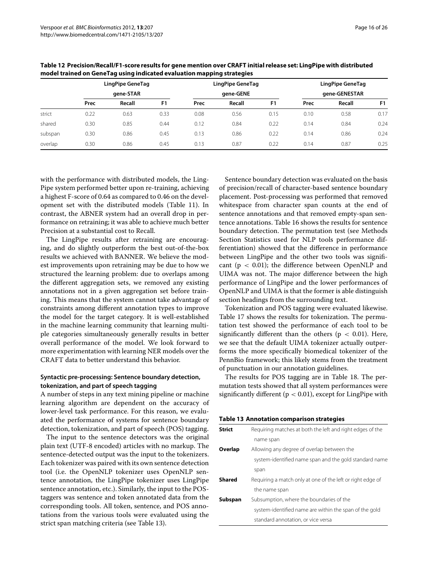|         | LingPipe GeneTag<br>gene-STAR |        |      |      | LingPipe GeneTag |      | LingPipe GeneTag |        |                |  |
|---------|-------------------------------|--------|------|------|------------------|------|------------------|--------|----------------|--|
|         |                               |        |      |      | gene-GENE        |      | gene-GENESTAR    |        |                |  |
|         | Prec                          | Recall | F1   | Prec | Recall           | F1   | Prec             | Recall | F <sub>1</sub> |  |
| strict  | 0.22                          | 0.63   | 0.33 | 0.08 | 0.56             | 0.15 | 0.10             | 0.58   | 0.17           |  |
| shared  | 0.30                          | 0.85   | 0.44 | 0.12 | 0.84             | 0.22 | 0.14             | 0.84   | 0.24           |  |
| subspan | 0.30                          | 0.86   | 0.45 | 0.13 | 0.86             | 0.22 | 0.14             | 0.86   | 0.24           |  |
| overlap | 0.30                          | 0.86   | 0.45 | 0.13 | 0.87             | 0.22 | 0.14             | 0.87   | 0.25           |  |

<span id="page-15-0"></span>**Table 12 Precision/Recall/F1-score results for gene mention over CRAFT initial release set: LingPipe with distributed model trained on GeneTag using indicated evaluation mapping strategies**

with the performance with distributed models, the Ling-Pipe system performed better upon re-training, achieving a highest F-score of 0.64 as compared to 0.46 on the development set with the distributed models (Table [11\)](#page-14-2). In contrast, the ABNER system had an overall drop in performance on retraining; it was able to achieve much better Precision at a substantial cost to Recall.

The LingPipe results after retraining are encouraging, and do slightly outperform the best out-of-the-box results we achieved with BANNER. We believe the modest improvements upon retraining may be due to how we structured the learning problem: due to overlaps among the different aggregation sets, we removed any existing annotations not in a given aggregation set before training. This means that the system cannot take advantage of constraints among different annotation types to improve the model for the target category. It is well-established in the machine learning community that learning multiple categories simultaneously generally results in better overall performance of the model. We look forward to more experimentation with learning NER models over the CRAFT data to better understand this behavior.

## **Syntactic pre-processing: Sentence boundary detection, tokenization, and part of speech tagging**

A number of steps in any text mining pipeline or machine learning algorithm are dependent on the accuracy of lower-level task performance. For this reason, we evaluated the performance of systems for sentence boundary detection, tokenization, and part of speech (POS) tagging.

The input to the sentence detectors was the original plain text (UTF-8 encoded) articles with no markup. The sentence-detected output was the input to the tokenizers. Each tokenizer was paired with its own sentence detection tool (i.e. the OpenNLP tokenizer uses OpenNLP sentence annotation, the LingPipe tokenizer uses LingPipe sentence annotation, etc.). Similarly, the input to the POStaggers was sentence and token annotated data from the corresponding tools. All token, sentence, and POS annotations from the various tools were evaluated using the strict span matching criteria (see Table [13\)](#page-15-1).

Sentence boundary detection was evaluated on the basis of precision/recall of character-based sentence boundary placement. Post-processing was performed that removed whitespace from character span counts at the end of sentence annotations and that removed empty-span sentence annotations. Table [16](#page-17-0) shows the results for sentence boundary detection. The permutation test (see Methods Section Statistics used for NLP tools performance differentiation) showed that the difference in performance between LingPipe and the other two tools was significant ( $p < 0.01$ ); the difference between OpenNLP and UIMA was not. The major difference between the high performance of LingPipe and the lower performances of OpenNLP and UIMA is that the former is able distinguish section headings from the surrounding text.

Tokenization and POS tagging were evaluated likewise. Table [17](#page-17-1) shows the results for tokenization. The permutation test showed the performance of each tool to be significantly different than the others ( $p < 0.01$ ). Here, we see that the default UIMA tokenizer actually outperforms the more specifically biomedical tokenizer of the PennBio framework; this likely stems from the treatment of punctuation in our annotation guidelines.

The results for POS tagging are in Table [18.](#page-17-2) The permutation tests showed that all system performances were significantly different ( $p < 0.01$ ), except for LingPipe with

<span id="page-15-1"></span>

|  | <b>Table 13 Annotation comparison strategies</b> |  |
|--|--------------------------------------------------|--|
|  |                                                  |  |

| <b>Strict</b> | Requiring matches at both the left and right edges of the  |
|---------------|------------------------------------------------------------|
|               | name span                                                  |
| Overlap       | Allowing any degree of overlap between the                 |
|               | system-identified name span and the gold standard name     |
|               | span                                                       |
| Shared        | Requiring a match only at one of the left or right edge of |
|               | the name span                                              |
| Subspan       | Subsumption, where the boundaries of the                   |
|               | system-identified name are within the span of the gold     |
|               | standard annotation, or vice versa                         |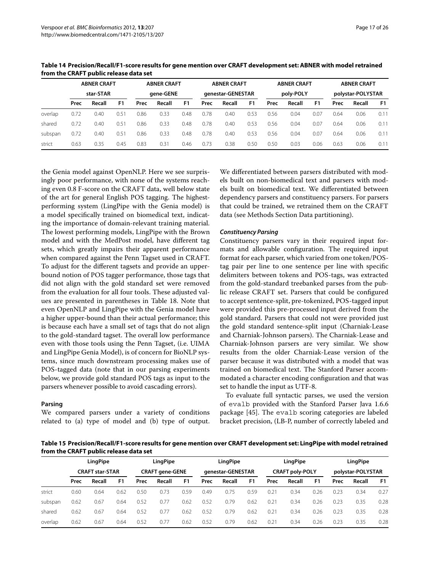|         |      | <b>ABNER CRAFT</b> |      |      | <b>ABNER CRAFT</b> |                |      | <b>ABNER CRAFT</b> |      |           | <b>ABNER CRAFT</b> |                   |      | <b>ABNER CRAFT</b> |      |
|---------|------|--------------------|------|------|--------------------|----------------|------|--------------------|------|-----------|--------------------|-------------------|------|--------------------|------|
|         |      | star-STAR          |      |      | gene-GENE          |                |      | genestar-GENESTAR  |      | poly-POLY |                    | polystar-POLYSTAR |      |                    |      |
|         | Prec | Recall             | F1   | Prec | Recall             | F <sub>1</sub> | Prec | Recall             | F1   | Prec      | Recall             | F1                | Prec | Recall             | F1   |
| overlap | 0.72 | 0.40               | 0.5  | 0.86 | 0.33               | 0.48           | 0.78 | 0.40               | 0.53 | 0.56      | 0.04               | 0.07              | 0.64 | 0.06               | 0.11 |
| shared  | 0.72 | 0.40               | 0.5  | 0.86 | 0.33               | 0.48           | 0.78 | 0.40               | 0.53 | 0.56      | 0.04               | 0.07              | 0.64 | 0.06               | 0.11 |
| subspan | 0.72 | 0.40               | 0.51 | 0.86 | 0.33               | 0.48           | 0.78 | 0.40               | 0.53 | 0.56      | 0.04               | 0.07              | 0.64 | 0.06               | 0.11 |
| strict  | 0.63 | 0.35               | 0.45 | 0.83 | 0.31               | 0.46           | 0.73 | 0.38               | 0.50 | 0.50      | 0.03               | 0.06              | 0.63 | 0.06               | 0.11 |

<span id="page-16-0"></span>**Table 14 Precision/Recall/F1-score results for gene mention over CRAFT development set: ABNER with model retrained from the CRAFT public release data set**

the Genia model against OpenNLP. Here we see surprisingly poor performance, with none of the systems reaching even 0.8 F-score on the CRAFT data, well below state of the art for general English POS tagging. The highestperforming system (LingPipe with the Genia model) is a model specifically trained on biomedical text, indicating the importance of domain-relevant training material. The lowest performing models, LingPipe with the Brown model and with the MedPost model, have different tag sets, which greatly impairs their apparent performance when compared against the Penn Tagset used in CRAFT. To adjust for the different tagsets and provide an upperbound notion of POS tagger performance, those tags that did not align with the gold standard set were removed from the evaluation for all four tools. These adjusted values are presented in parentheses in Table [18.](#page-17-2) Note that even OpenNLP and LingPipe with the Genia model have a higher upper-bound than their actual performance; this is because each have a small set of tags that do not align to the gold-standard tagset. The overall low performance even with those tools using the Penn Tagset, (i.e. UIMA and LingPipe Genia Model), is of concern for BioNLP systems, since much downstream processing makes use of POS-tagged data (note that in our parsing experiments below, we provide gold standard POS tags as input to the parsers whenever possible to avoid cascading errors).

#### **Parsing**

We compared parsers under a variety of conditions related to (a) type of model and (b) type of output. We differentiated between parsers distributed with models built on non-biomedical text and parsers with models built on biomedical text. We differentiated between dependency parsers and constituency parsers. For parsers that could be trained, we retrained them on the CRAFT data (see Methods Section Data partitioning).

#### *Constituency Parsing*

Constituency parsers vary in their required input formats and allowable configuration. The required input format for each parser, which varied from one token/POStag pair per line to one sentence per line with specific delimiters between tokens and POS-tags, was extracted from the gold-standard treebanked parses from the public release CRAFT set. Parsers that could be configured to accept sentence-split, pre-tokenized, POS-tagged input were provided this pre-processed input derived from the gold standard. Parsers that could not were provided just the gold standard sentence-split input (Charniak-Lease and Charniak-Johnson parsers). The Charniak-Lease and Charniak-Johnson parsers are very similar. We show results from the older Charniak-Lease version of the parser because it was distributed with a model that was trained on biomedical text. The Stanford Parser accommodated a character encoding configuration and that was set to handle the input as UTF-8.

To evaluate full syntactic parses, we used the version of evalb provided with the Stanford Parser Java 1.6.6 package [\[45\]](#page-24-29). The evalb scoring categories are labeled bracket precision, (LB-P, number of correctly labeled and

<span id="page-16-1"></span>**Table 15 Precision/Recall/F1-score results for gene mention over CRAFT development set: LingPipe with model retrained from the CRAFT public release data set**

|         |      | LingPipe               |                |      | LingPipe               |                |      | <b>LingPipe</b>   |                |                                             | LingPipe |      |      | LingPipe |      |
|---------|------|------------------------|----------------|------|------------------------|----------------|------|-------------------|----------------|---------------------------------------------|----------|------|------|----------|------|
|         |      | <b>CRAFT star-STAR</b> |                |      | <b>CRAFT gene-GENE</b> |                |      | genestar-GENESTAR |                | <b>CRAFT poly-POLY</b><br>polystar-POLYSTAR |          |      |      |          |      |
|         | Prec | Recall                 | F <sub>1</sub> | Prec | Recall                 | F <sub>1</sub> | Prec | Recall            | F <sub>1</sub> | Prec                                        | Recall   | F1   | Prec | Recall   | F1   |
| strict  | 0.60 | 0.64                   | 0.62           | 0.50 | 0.73                   | 0.59           | 0.49 | 0.75              | 0.59           | 0.21                                        | 0.34     | 0.26 | 0.23 | 0.34     | 0.27 |
| subspan | 0.62 | 0.67                   | 0.64           | 0.52 | 0.77                   | 0.62           | 0.52 | 0.79              | 0.62           | 0.21                                        | 0.34     | 0.26 | 0.23 | 0.35     | 0.28 |
| shared  | 0.62 | 0.67                   | 0.64           | 0.52 | 0.77                   | 0.62           | 0.52 | 0.79              | 0.62           | 0.21                                        | 0.34     | 0.26 | 0.23 | 0.35     | 0.28 |
| overlap | 0.62 | 0.67                   | 0.64           | 0.52 | 0.77                   | 0.62           | 0.52 | 0.79              | 0.62           | 0.21                                        | 0.34     | 0.26 | 0.23 | 0.35     | 0.28 |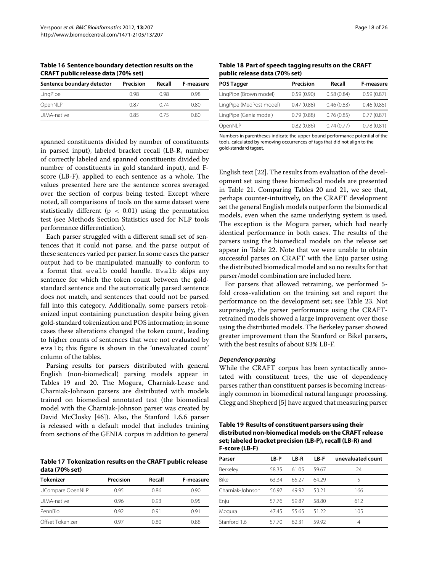<span id="page-17-0"></span>**Table 16 Sentence boundary detection results on the CRAFT public release data (70% set)**

| Sentence boundary detector | Precision | Recall | F-measure |
|----------------------------|-----------|--------|-----------|
| LingPipe                   | O 98      | O 98   | O 98      |
| OpenNLP                    | 0.87      | O 74   | 0.80      |
| UIMA-native                | 0.85      | O 75   | 0.80      |

<span id="page-17-2"></span>**Table 18 Part of speech tagging results on the CRAFT public release data (70% set)**

| <b>POS Tagger</b>        | Precision  | Recall     | F-measure  |
|--------------------------|------------|------------|------------|
| LingPipe (Brown model)   | 0.59(0.90) | 0.58(0.84) | 0.59(0.87) |
| LingPipe (MedPost model) | 0.47(0.88) | 0.46(0.83) | 0.46(0.85) |
| LingPipe (Genia model)   | 0.79(0.88) | 0.76(0.85) | 0.77(0.87) |
| OpenNLP                  | 0.82(0.86) | 0.74(0.77) | 0.78(0.81) |

Numbers in parentheses indicate the upper-bound performance potential of the tools, calculated by removing occurrences of tags that did not align to the gold-standard tagset.

spanned constituents divided by number of constituents in parsed input), labeled bracket recall (LB-R, number of correctly labeled and spanned constituents divided by number of constituents in gold standard input), and Fscore (LB-F), applied to each sentence as a whole. The values presented here are the sentence scores averaged over the section of corpus being tested. Except where noted, all comparisons of tools on the same dataset were statistically different ( $p < 0.01$ ) using the permutation test (see Methods Section Statistics used for NLP tools performance differentiation).

Each parser struggled with a different small set of sentences that it could not parse, and the parse output of these sentences varied per parser. In some cases the parser output had to be manipulated manually to conform to a format that evalb could handle. Evalb skips any sentence for which the token count between the goldstandard sentence and the automatically parsed sentence does not match, and sentences that could not be parsed fall into this category. Additionally, some parsers retokenized input containing punctuation despite being given gold-standard tokenization and POS information; in some cases these alterations changed the token count, leading to higher counts of sentences that were not evaluated by evalb; this figure is shown in the 'unevaluated count' column of the tables.

Parsing results for parsers distributed with general English (non-biomedical) parsing models appear in Tables [19](#page-17-3) and [20.](#page-18-0) The Mogura, Charniak-Lease and Charniak-Johnson parsers are distributed with models trained on biomedical annotated text (the biomedical model with the Charniak-Johnson parser was created by David McClosky [\[46\]](#page-24-30)). Also, the Stanford 1.6.6 parser is released with a default model that includes training from sections of the GENIA corpus in addition to general

<span id="page-17-1"></span>**Table 17 Tokenization results on the CRAFT public release data (70% set)**

| Precision | Recall | <b>F-measure</b> |
|-----------|--------|------------------|
| 0.95      | 0.86   | 0.90             |
| 0.96      | 0.93   | O 95             |
| 0.92      | O 91   | በ 91             |
| በ 97      | 0.80   | 0.88             |
|           |        |                  |

English text [\[22\]](#page-24-7). The results from evaluation of the development set using these biomedical models are presented in Table [21.](#page-18-1) Comparing Tables [20](#page-18-0) and [21,](#page-18-1) we see that, perhaps counter-intuitively, on the CRAFT development set the general English models outperform the biomedical models, even when the same underlying system is used. The exception is the Mogura parser, which had nearly identical performance in both cases. The results of the parsers using the biomedical models on the release set appear in Table [22.](#page-18-2) Note that we were unable to obtain successful parses on CRAFT with the Enju parser using the distributed biomedical model and so no results for that parser/model combination are included here.

For parsers that allowed retraining, we performed 5 fold cross-validation on the training set and report the performance on the development set; see Table [23.](#page-19-0) Not surprisingly, the parser performance using the CRAFTretrained models showed a large improvement over those using the distributed models. The Berkeley parser showed greater improvement than the Stanford or Bikel parsers, with the best results of about 83% LB-F.

#### *Dependency parsing*

While the CRAFT corpus has been syntactically annotated with constituent trees, the use of dependency parses rather than constituent parses is becoming increasingly common in biomedical natural language processing. Clegg and Shepherd [\[5\]](#page-23-4) have argued that measuring parser

<span id="page-17-3"></span>

| Table 19 Results of constituent parsers using their      |
|----------------------------------------------------------|
| distributed non-biomedical models on the CRAFT release   |
| set; labeled bracket precision (LB-P), recall (LB-R) and |
| F-score (LB-F)                                           |

| LB-P  | LB-R  | LB-F  | unevaluated count |
|-------|-------|-------|-------------------|
| 58.35 | 61.05 | 59.67 | 24                |
| 63.34 | 65.27 | 64 29 | 5                 |
| 56.97 | 49.92 | 53.21 | 166               |
| 57.76 | 59.87 | 58.80 | 612               |
| 47.45 | 55.65 | 51.22 | 105               |
| 5770  | 62.31 | 59.92 | 4                 |
|       |       |       |                   |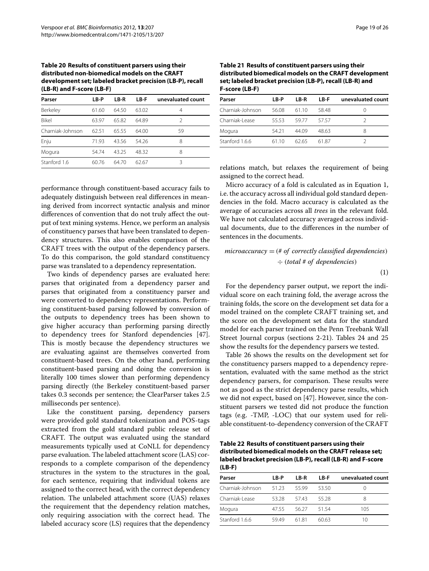<span id="page-18-0"></span>**Table 20 Results of constituent parsers using their distributed non-biomedical models on the CRAFT development set; labeled bracket precision (LB-P), recall (LB-R) and F-score (LB-F)**

| Parser           | LB-P  | $LB-R$ | LB-F  | unevaluated count |
|------------------|-------|--------|-------|-------------------|
| Berkeley         | 61.60 | 64.50  | 63.02 | 4                 |
| <b>Bikel</b>     | 63.97 | 65.82  | 64.89 | V                 |
| Charniak-Johnson | 62.51 | 65.55  | 64.00 | 59                |
| Enju             | 71.93 | 43.56  | 54.26 | 8                 |
| Mogura           | 54.74 | 43.25  | 48.32 | 8                 |
| Stanford 1.6     | 60 76 | 64 70  | 62.67 | ੨                 |

performance through constituent-based accuracy fails to adequately distinguish between real differences in meaning derived from incorrect syntactic analysis and minor differences of convention that do not truly affect the output of text mining systems. Hence, we perform an analysis of constituency parses that have been translated to dependency structures. This also enables comparison of the CRAFT trees with the output of the dependency parsers. To do this comparison, the gold standard constituency parse was translated to a dependency representation.

Two kinds of dependency parses are evaluated here: parses that originated from a dependency parser and parses that originated from a constituency parser and were converted to dependency representations. Performing constituent-based parsing followed by conversion of the outputs to dependency trees has been shown to give higher accuracy than performing parsing directly to dependency trees for Stanford dependencies [\[47\]](#page-24-31). This is mostly because the dependency structures we are evaluating against are themselves converted from constituent-based trees. On the other hand, performing constituent-based parsing and doing the conversion is literally 100 times slower than performing dependency parsing directly (the Berkeley constituent-based parser takes 0.3 seconds per sentence; the ClearParser takes 2.5 milliseconds per sentence).

Like the constituent parsing, dependency parsers were provided gold standard tokenization and POS-tags extracted from the gold standard public release set of CRAFT. The output was evaluated using the standard measurements typically used at CoNLL for dependency parse evaluation. The labeled attachment score (LAS) corresponds to a complete comparison of the dependency structures in the system to the structures in the goal, for each sentence, requiring that individual tokens are assigned to the correct head, with the correct dependency relation. The unlabeled attachment score (UAS) relaxes the requirement that the dependency relation matches, only requiring association with the correct head. The labeled accuracy score (LS) requires that the dependency

#### <span id="page-18-1"></span>**Table 21 Results of constituent parsers using their distributed biomedical models on the CRAFT development set; labeled bracket precision (LB-P), recall (LB-R) and F-score (LB-F)**

| Parser           | LB-P  | LB-R  | LB-F  | unevaluated count |
|------------------|-------|-------|-------|-------------------|
| Charniak-Johnson | 56.08 | 61.10 | 58.48 |                   |
| Charniak-Lease   | 55 53 | 5977  | 5757  |                   |
| Mogura           | 54 21 | 44.09 | 48.63 | 8                 |
| Stanford 1.6.6   | 61 10 | 62.65 | 6187  |                   |

relations match, but relaxes the requirement of being assigned to the correct head.

Micro accuracy of a fold is calculated as in Equation [1,](#page-18-3) i.e. the accuracy across all individual gold standard dependencies in the fold. Macro accuracy is calculated as the average of accuracies across all *trees* in the relevant fold. We have not calculated accuracy averaged across individual documents, due to the differences in the number of sentences in the documents.

<span id="page-18-3"></span>
$$
microaccuracy = (\# of correctly classified dependencies)
$$
  
 
$$
\div (total \# of dependencies)
$$
  
(1)

For the dependency parser output, we report the individual score on each training fold, the average across the training folds, the score on the development set data for a model trained on the complete CRAFT training set, and the score on the development set data for the standard model for each parser trained on the Penn Treebank Wall Street Journal corpus (sections 2-21). Tables [24](#page-19-1) and [25](#page-20-0) show the results for the dependency parsers we tested.

Table [26](#page-20-1) shows the results on the development set for the constituency parsers mapped to a dependency representation, evaluated with the same method as the strict dependency parsers, for comparison. These results were not as good as the strict dependency parse results, which we did not expect, based on [\[47\]](#page-24-31). However, since the constituent parsers we tested did not produce the function tags (e.g. -TMP, -LOC) that our system used for reliable constituent-to-dependency conversion of the CRAFT

<span id="page-18-2"></span>**Table 22 Results of constituent parsers using their distributed biomedical models on the CRAFT release set; labeled bracket precision (LB-P), recall (LB-R) and F-score (LB-F)**

| Parser           | LB-P  | LB-R  | LB-F  | unevaluated count |
|------------------|-------|-------|-------|-------------------|
| Charniak-Johnson | 51.23 | 5599  | 53.50 |                   |
| Charniak-Lease   | 53.28 | 5743  | 55 28 | 8                 |
| Mogura           | 47.55 | 56.27 | 5154  | 105               |
| Stanford 1.6.6   | 5949  | 61.81 | 60.63 | 10                |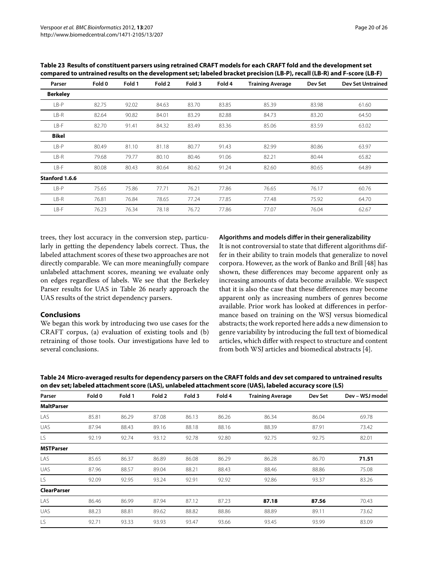| Parser          | Fold 0 | Fold 1 | Fold 2 | Fold 3 | Fold 4 | <b>Training Average</b> | Dev Set | <b>Dev Set Untrained</b> |
|-----------------|--------|--------|--------|--------|--------|-------------------------|---------|--------------------------|
| <b>Berkeley</b> |        |        |        |        |        |                         |         |                          |
| $LB-P$          | 82.75  | 92.02  | 84.63  | 83.70  | 83.85  | 85.39                   | 83.98   | 61.60                    |
| $LB-R$          | 82.64  | 90.82  | 84.01  | 83.29  | 82.88  | 84.73                   | 83.20   | 64.50                    |
| LB-F            | 82.70  | 91.41  | 84.32  | 83.49  | 83.36  | 85.06                   | 83.59   | 63.02                    |
| <b>Bikel</b>    |        |        |        |        |        |                         |         |                          |
| $LB-P$          | 80.49  | 81.10  | 81.18  | 80.77  | 91.43  | 82.99                   | 80.86   | 63.97                    |
| $LB-R$          | 79.68  | 79.77  | 80.10  | 80.46  | 91.06  | 82.21                   | 80.44   | 65.82                    |
| LB-F            | 80.08  | 80.43  | 80.64  | 80.62  | 91.24  | 82.60                   | 80.65   | 64.89                    |
| Stanford 1.6.6  |        |        |        |        |        |                         |         |                          |
| $LB-P$          | 75.65  | 75.86  | 77.71  | 76.21  | 77.86  | 76.65                   | 76.17   | 60.76                    |
| $LB-R$          | 76.81  | 76.84  | 78.65  | 77.24  | 77.85  | 77.48                   | 75.92   | 64.70                    |
| LB-F            | 76.23  | 76.34  | 78.18  | 76.72  | 77.86  | 77.07                   | 76.04   | 62.67                    |

<span id="page-19-0"></span>**Table 23 Results of constituent parsers using retrained CRAFT models for each CRAFT fold and the development set compared to untrained results on the development set; labeled bracket precision (LB-P), recall (LB-R) and F-score (LB-F)**

trees, they lost accuracy in the conversion step, particularly in getting the dependency labels correct. Thus, the labeled attachment scores of these two approaches are not directly comparable. We can more meaningfully compare unlabeled attachment scores, meaning we evaluate only on edges regardless of labels. We see that the Berkeley Parser results for UAS in Table [26](#page-20-1) nearly approach the UAS results of the strict dependency parsers.

## **Conclusions**

We began this work by introducing two use cases for the CRAFT corpus, (a) evaluation of existing tools and (b) retraining of those tools. Our investigations have led to several conclusions.

## **Algorithms and models differ in their generalizability**

It is not controversial to state that different algorithms differ in their ability to train models that generalize to novel corpora. However, as the work of Banko and Brill [\[48\]](#page-24-32) has shown, these differences may become apparent only as increasing amounts of data become available. We suspect that it is also the case that these differences may become apparent only as increasing numbers of genres become available. Prior work has looked at differences in performance based on training on the WSJ versus biomedical abstracts; the work reported here adds a new dimension to genre variability by introducing the full text of biomedical articles, which differ with respect to structure and content from both WSJ articles and biomedical abstracts [\[4\]](#page-23-3).

<span id="page-19-1"></span>

| Table 24 Micro-averaged results for dependency parsers on the CRAFT folds and dev set compared to untrained results |
|---------------------------------------------------------------------------------------------------------------------|
| on dev set; labeled attachment score (LAS), unlabeled attachment score (UAS), labeled accuracy score (LS)           |

| Parser             | Fold 0 | Fold 1 | Fold 2 | Fold 3 | Fold 4 | <b>Training Average</b> | Dev Set | Dev - WSJ model |
|--------------------|--------|--------|--------|--------|--------|-------------------------|---------|-----------------|
| <b>MaltParser</b>  |        |        |        |        |        |                         |         |                 |
| LAS                | 85.81  | 86.29  | 87.08  | 86.13  | 86.26  | 86.34                   | 86.04   | 69.78           |
| UAS                | 87.94  | 88.43  | 89.16  | 88.18  | 88.16  | 88.39                   | 87.91   | 73.42           |
| LS.                | 92.19  | 92.74  | 93.12  | 92.78  | 92.80  | 92.75                   | 92.75   | 82.01           |
| <b>MSTParser</b>   |        |        |        |        |        |                         |         |                 |
| LAS                | 85.65  | 86.37  | 86.89  | 86.08  | 86.29  | 86.28                   | 86.70   | 71.51           |
| <b>UAS</b>         | 87.96  | 88.57  | 89.04  | 88.21  | 88.43  | 88.46                   | 88.86   | 75.08           |
| LS.                | 92.09  | 92.95  | 93.24  | 92.91  | 92.92  | 92.86                   | 93.37   | 83.26           |
| <b>ClearParser</b> |        |        |        |        |        |                         |         |                 |
| LAS                | 86.46  | 86.99  | 87.94  | 87.12  | 87.23  | 87.18                   | 87.56   | 70.43           |
| <b>UAS</b>         | 88.23  | 88.81  | 89.62  | 88.82  | 88.86  | 88.89                   | 89.11   | 73.62           |
| T.S.               | 92.71  | 93.33  | 93.93  | 93.47  | 93.66  | 93.45                   | 93.99   | 83.09           |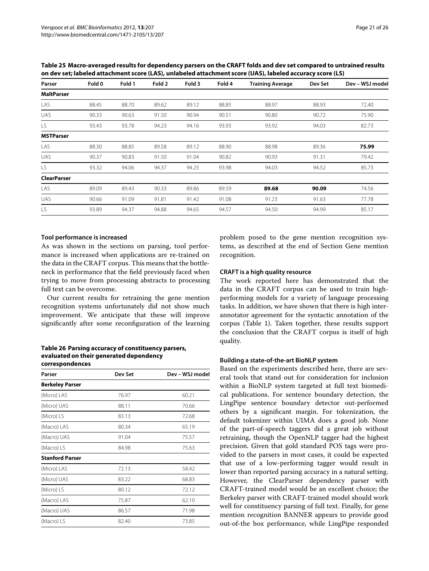| Parser             | Fold 0 | Fold 1 | Fold 2 | Fold 3 | Fold 4 | <b>Training Average</b> | Dev Set | Dev - WSJ model |
|--------------------|--------|--------|--------|--------|--------|-------------------------|---------|-----------------|
| <b>MaltParser</b>  |        |        |        |        |        |                         |         |                 |
| LAS                | 88.45  | 88.70  | 89.62  | 89.12  | 88.85  | 88.97                   | 88.93   | 72.40           |
| <b>UAS</b>         | 90.33  | 90.63  | 91.50  | 90.94  | 90.51  | 90.80                   | 90.72   | 75.90           |
| LS                 | 93.43  | 93.78  | 94.23  | 94.16  | 93.93  | 93.92                   | 94.03   | 82.73           |
| <b>MSTParser</b>   |        |        |        |        |        |                         |         |                 |
| LAS                | 88.30  | 88.85  | 89.58  | 89.12  | 88.90  | 88.98                   | 89.36   | 75.99           |
| <b>UAS</b>         | 90.37  | 90.83  | 91.50  | 91.04  | 90.82  | 90.93                   | 91.31   | 79.42           |
| LS.                | 93.32  | 94.06  | 94.37  | 94.25  | 93.98  | 94.03                   | 94.52   | 85.73           |
| <b>ClearParser</b> |        |        |        |        |        |                         |         |                 |
| LAS                | 89.09  | 89.43  | 90.33  | 89.86  | 89.59  | 89.68                   | 90.09   | 74.56           |
| <b>UAS</b>         | 90.66  | 91.09  | 91.81  | 91.42  | 91.08  | 91.23                   | 91.63   | 77.78           |
| LS                 | 93.89  | 94.37  | 94.88  | 94.65  | 94.57  | 94.50                   | 94.99   | 85.17           |

<span id="page-20-0"></span>**Table 25 Macro-averaged results for dependency parsers on the CRAFT folds and dev set compared to untrained results on dev set; labeled attachment score (LAS), unlabeled attachment score (UAS), labeled accuracy score (LS)**

## **Tool performance is increased**

As was shown in the sections on parsing, tool performance is increased when applications are re-trained on the data in the CRAFT corpus. This means that the bottleneck in performance that the field previously faced when trying to move from processing abstracts to processing full text can be overcome.

Our current results for retraining the gene mention recognition systems unfortunately did not show much improvement. We anticipate that these will improve significantly after some reconfiguration of the learning

#### <span id="page-20-1"></span>**Table 26 Parsing accuracy of constituency parsers, evaluated on their generated dependency correspondences**

| Parser                 | Dev Set | Dev - WSJ model |
|------------------------|---------|-----------------|
| <b>Berkeley Parser</b> |         |                 |
| (Micro) LAS            | 76.97   | 60.21           |
| (Micro) UAS            | 88.11   | 70.66           |
| (Micro) LS             | 83.13   | 72.68           |
| (Macro) LAS            | 80.34   | 65.19           |
| (Macro) UAS            | 91.04   | 75.57           |
| (Macro) LS             | 84.98   | 75.63           |
| <b>Stanford Parser</b> |         |                 |
| (Micro) LAS            | 72.13   | 58.42           |
| (Micro) UAS            | 83.22   | 68.83           |
| (Micro) LS             | 80.12   | 72.12           |
| (Macro) LAS            | 75.87   | 62.10           |
| (Macro) UAS            | 86.57   | 71.98           |
| (Macro) LS             | 82.40   | 73.85           |

problem posed to the gene mention recognition systems, as described at the end of Section Gene mention recognition.

#### **CRAFT is a high quality resource**

The work reported here has demonstrated that the data in the CRAFT corpus can be used to train highperforming models for a variety of language processing tasks. In addition, we have shown that there is high interannotator agreement for the syntactic annotation of the corpus (Table [1\)](#page-11-0). Taken together, these results support the conclusion that the CRAFT corpus is itself of high quality.

#### **Building a state-of-the-art BioNLP system**

Based on the experiments described here, there are several tools that stand out for consideration for inclusion within a BioNLP system targeted at full text biomedical publications. For sentence boundary detection, the LingPipe sentence boundary detector out-performed others by a significant margin. For tokenization, the default tokenizer within UIMA does a good job. None of the part-of-speech taggers did a great job without retraining, though the OpenNLP tagger had the highest precision. Given that gold standard POS tags were provided to the parsers in most cases, it could be expected that use of a low-performing tagger would result in lower than reported parsing accuracy in a natural setting. However, the ClearParser dependency parser with CRAFT-trained model would be an excellent choice; the Berkeley parser with CRAFT-trained model should work well for constituency parsing of full text. Finally, for gene mention recognition BANNER appears to provide good out-of-the box performance, while LingPipe responded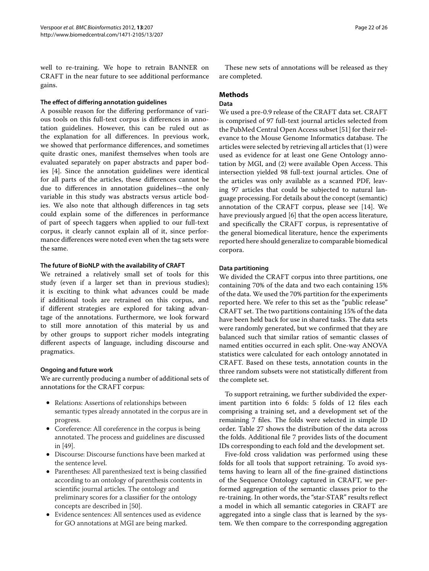well to re-training. We hope to retrain BANNER on CRAFT in the near future to see additional performance gains.

#### **The effect of differing annotation guidelines**

A possible reason for the differing performance of various tools on this full-text corpus is differences in annotation guidelines. However, this can be ruled out as the explanation for all differences. In previous work, we showed that performance differences, and sometimes quite drastic ones, manifest themselves when tools are evaluated separately on paper abstracts and paper bodies [\[4\]](#page-23-3). Since the annotation guidelines were identical for all parts of the articles, these differences cannot be due to differences in annotation guidelines—the only variable in this study was abstracts versus article bodies. We also note that although differences in tag sets could explain some of the differences in performance of part of speech taggers when applied to our full-text corpus, it clearly cannot explain all of it, since performance differences were noted even when the tag sets were the same.

#### **The future of BioNLP with the availability of CRAFT**

We retrained a relatively small set of tools for this study (even if a larger set than in previous studies); it is exciting to think what advances could be made if additional tools are retrained on this corpus, and if different strategies are explored for taking advantage of the annotations. Furthermore, we look forward to still more annotation of this material by us and by other groups to support richer models integrating different aspects of language, including discourse and pragmatics.

## <span id="page-21-0"></span>**Ongoing and future work**

We are currently producing a number of additional sets of annotations for the CRAFT corpus:

- Relations: Assertions of relationships between semantic types already annotated in the corpus are in progress.
- Coreference: All coreference in the corpus is being annotated. The process and guidelines are discussed in [\[49\]](#page-24-33).
- Discourse: Discourse functions have been marked at the sentence level.
- Parentheses: All parenthesized text is being classified according to an ontology of parenthesis contents in scientific journal articles. The ontology and preliminary scores for a classifier for the ontology concepts are described in [\[50\]](#page-24-34).
- Evidence sentences: All sentences used as evidence for GO annotations at MGI are being marked.

These new sets of annotations will be released as they are completed.

## **Methods**

## **Data**

We used a pre-0.9 release of the CRAFT data set. CRAFT is comprised of 97 full-text journal articles selected from the PubMed Central Open Access subset [\[51\]](#page-24-35) for their relevance to the Mouse Genome Informatics database. The articles were selected by retrieving all articles that (1) were used as evidence for at least one Gene Ontology annotation by MGI, and (2) were available Open Access. This intersection yielded 98 full-text journal articles. One of the articles was only available as a scanned PDF, leaving 97 articles that could be subjected to natural language processing. For details about the concept (semantic) annotation of the CRAFT corpus, please see [\[14\]](#page-23-11). We have previously argued [\[6\]](#page-23-5) that the open access literature, and specifically the CRAFT corpus, is representative of the general biomedical literature, hence the experiments reported here should generalize to comparable biomedical corpora.

## **Data partitioning**

We divided the CRAFT corpus into three partitions, one containing 70% of the data and two each containing 15% of the data. We used the 70% partition for the experiments reported here. We refer to this set as the "public release" CRAFT set. The two partitions containing 15% of the data have been held back for use in shared tasks. The data sets were randomly generated, but we confirmed that they are balanced such that similar ratios of semantic classes of named entities occurred in each split. One-way ANOVA statistics were calculated for each ontology annotated in CRAFT. Based on these tests, annotation counts in the three random subsets were not statistically different from the complete set.

To support retraining, we further subdivided the experiment partition into 6 folds: 5 folds of 12 files each comprising a training set, and a development set of the remaining 7 files. The folds were selected in simple ID order. Table [27](#page-22-1) shows the distribution of the data across the folds. Additional file [7](#page-23-18) provides lists of the document IDs corresponding to each fold and the development set.

Five-fold cross validation was performed using these folds for all tools that support retraining. To avoid systems having to learn all of the fine-grained distinctions of the Sequence Ontology captured in CRAFT, we performed aggregation of the semantic classes prior to the re-training. In other words, the "star-STAR" results reflect a model in which all semantic categories in CRAFT are aggregated into a single class that is learned by the system. We then compare to the corresponding aggregation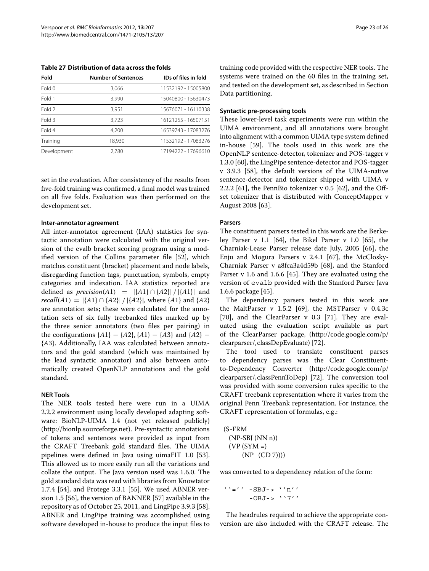<span id="page-22-1"></span>**Table 27 Distribution of data across the folds**

| Fold        | <b>Number of Sentences</b> | IDs of files in fold |
|-------------|----------------------------|----------------------|
| Fold 0      | 3.066                      | 11532192 - 15005800  |
| Fold 1      | 3.990                      | 15040800 - 15630473  |
| Fold 2      | 3.951                      | 15676071 - 16110338  |
| Fold 3      | 3.723                      | 16121255 - 16507151  |
| Fold 4      | 4.200                      | 16539743 - 17083276  |
| Training    | 18.930                     | 11532192 - 17083276  |
| Development | 2.780                      | 17194222 - 17696610  |

set in the evaluation. After consistency of the results from five-fold training was confirmed, a final model was trained on all five folds. Evaluation was then performed on the development set.

#### <span id="page-22-0"></span>**Inter-annotator agreement**

All inter-annotator agreement (IAA) statistics for syntactic annotation were calculated with the original version of the evalb bracket scoring program using a modified version of the Collins parameter file [\[52\]](#page-24-36), which matches constituent (bracket) placement and node labels, disregarding function tags, punctuation, symbols, empty categories and indexation. IAA statistics reported are defined as *precision*(*A*1) =  $|\{A1\} \cap \{A2\}| / |\{A1\}|$  and  $recall(A1) = |\{A1\} \cap \{A2\}| / |\{A2\}|$ , where  $\{A1\}$  and  $\{A2\}$ are annotation sets; these were calculated for the annotation sets of six fully treebanked files marked up by the three senior annotators (two files per pairing) in the configurations  $\{A1\} - \{A2\}, \{A1\} - \{A3\}$  and  $\{A2\}$  − {*A*3}. Additionally, IAA was calculated between annotators and the gold standard (which was maintained by the lead syntactic annotator) and also between automatically created OpenNLP annotations and the gold standard.

## **NER Tools**

The NER tools tested here were run in a UIMA 2.2.2 environment using locally developed adapting software: BioNLP-UIMA 1.4 (not yet released publicly) [\(http://bionlp.sourceforge.net\)](http://bionlp.sourceforge.net). Pre-syntactic annotations of tokens and sentences were provided as input from the CRAFT Treebank gold standard files. The UIMA pipelines were defined in Java using uimaFIT 1.0 [\[53\]](#page-24-37). This allowed us to more easily run all the variations and collate the output. The Java version used was 1.6.0. The gold standard data was read with libraries from Knowtator 1.7.4 [\[54\]](#page-24-38), and Protege 3.3.1 [\[55\]](#page-24-39). We used ABNER version 1.5 [\[56\]](#page-24-40), the version of BANNER [\[57\]](#page-25-0) available in the repository as of October 25, 2011, and LingPipe 3.9.3 [\[58\]](#page-25-1). ABNER and LingPipe training was accomplished using software developed in-house to produce the input files to

training code provided with the respective NER tools. The systems were trained on the 60 files in the training set, and tested on the development set, as described in Section Data partitioning.

#### **Syntactic pre-processing tools**

These lower-level task experiments were run within the UIMA environment, and all annotations were brought into alignment with a common UIMA type system defined in-house [\[59\]](#page-25-2). The tools used in this work are the OpenNLP sentence-detector, tokenizer and POS-tagger v 1.3.0 [\[60\]](#page-25-3), the LingPipe sentence-detector and POS-tagger v 3.9.3 [\[58\]](#page-25-1), the default versions of the UIMA-native sentence-detector and tokenizer shipped with UIMA v 2.2.2 [\[61\]](#page-25-4), the PennBio tokenizer v 0.5 [\[62\]](#page-25-5), and the Offset tokenizer that is distributed with ConceptMapper v August 2008 [\[63\]](#page-25-6).

## **Parsers**

The constituent parsers tested in this work are the Berke-ley Parser v 1.1 [\[64\]](#page-25-7), the Bikel Parser v 1.0 [\[65\]](#page-25-8), the Charniak-Lease Parser release date July, 2005 [\[66\]](#page-25-9), the Enju and Mogura Parsers v 2.4.1 [\[67\]](#page-25-10), the McClosky-Charniak Parser v a8fca3a4d59b [\[68\]](#page-25-11), and the Stanford Parser v 1.6 and 1.6.6 [\[45\]](#page-24-29). They are evaluated using the version of evalb provided with the Stanford Parser Java 1.6.6 package [\[45\]](#page-24-29).

The dependency parsers tested in this work are the MaltParser v 1.5.2 [\[69\]](#page-25-12), the MSTParser v 0.4.3c [\[70\]](#page-25-13), and the ClearParser v 0.3 [\[71\]](#page-25-14). They are evaluated using the evaluation script available as part of the ClearParser package, [\(http://code.google.com/p/](http://code.google.com/p/clearparser/, class DepEvaluate) [clearparser/,classDepEvaluate\)](http://code.google.com/p/clearparser/, class DepEvaluate) [\[72\]](#page-25-15).

The tool used to translate constituent parses to dependency parses was the Clear Constituentto-Dependency Converter [\(http://code.google.com/p/](http://code.google.com/p/clearparser/, class PennToDep) [clearparser/,classPennToDep\)](http://code.google.com/p/clearparser/, class PennToDep) [\[72\]](#page-25-15). The conversion tool was provided with some conversion rules specific to the CRAFT treebank representation where it varies from the original Penn Treebank representation. For instance, the CRAFT representation of formulas, e.g.:

$$
(S-FRM(NP-SBJ (NN n))(VP (SYM =)(NP (CD 7))))
$$

was converted to a dependency relation of the form:

$$
``=' ' - SBJ - > ''n''
$$
  
-OBJ - > ''7'

The headrules required to achieve the appropriate conversion are also included with the CRAFT release. The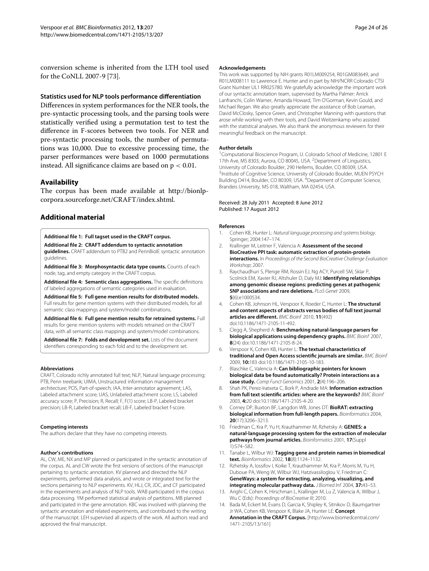conversion scheme is inherited from the LTH tool used for the CoNLL 2007-9 [\[73\]](#page-25-16).

#### **Statistics used for NLP tools performance differentiation**

Differences in system performances for the NER tools, the pre-syntactic processing tools, and the parsing tools were statistically verified using a permutation test to test the difference in F-scores between two tools. For NER and pre-syntactic processing tools, the number of permutations was 10,000. Due to excessive processing time, the parser performances were based on 1000 permutations instead. All significance claims are based on  $p < 0.01$ .

#### **Availability**

The corpus has been made available at [http://bionlp](http://bionlp-corpora.sourceforge.net/CRAFT/index.shtml)[corpora.sourceforge.net/CRAFT/index.shtml.](http://bionlp-corpora.sourceforge.net/CRAFT/index.shtml)

## **Additional material**

<span id="page-23-12"></span>**[Additional file 1:](http://www.biomedcentral.com/content/supplementary/1471-2105-13-207-S1.pdf) Full tagset used in the CRAFT corpus.**

<span id="page-23-13"></span>**[Additional file 2:](http://www.biomedcentral.com/content/supplementary/1471-2105-13-207-S2.pdf) CRAFT addendum to syntactic annotation**

**guidelines.** CRAFT addendum to PTB2 and PennBioIE syntactic annotation guidelines.

<span id="page-23-14"></span>**[Additional file 3:](http://www.biomedcentral.com/content/supplementary/1471-2105-13-207-S3.txt) Morphosyntactic data type counts.** Counts of each node, tag, and empty category in the CRAFT corpus.

<span id="page-23-15"></span>**[Additional file 4:](http://www.biomedcentral.com/content/supplementary/1471-2105-13-207-S4.txt) Semantic class aggregations.** The specific definitions of labeled aggregations of semantic categories used in evaluation.

<span id="page-23-16"></span>**[Additional file 5:](http://www.biomedcentral.com/content/supplementary/1471-2105-13-207-S5.txt) Full gene mention results for distributed models.** Full results for gene mention systems with their distributed models, for all semantic class mappings and system/model combinations.

<span id="page-23-17"></span>**[Additional file 6:](http://www.biomedcentral.com/content/supplementary/1471-2105-13-207-S6.txt) Full gene mention results for retrained systems.** Full results for gene mention systems with models retrained on the CRAFT data, with all semantic class mappings and system/model combinations.

<span id="page-23-18"></span>**[Additional file 7:](http://www.biomedcentral.com/content/supplementary/1471-2105-13-207-S7.txt) Folds and development set.** Lists of the document identifiers corresponding to each fold and to the development set.

#### **Abbreviations**

CRAFT, Colorado richly annotated full text; NLP, Natural language processing; PTB, Penn treebank; UIMA, Unstructured information management architecture; POS, Part-of-speech; IAA, Inter-annotator agreement; LAS, Labeled attachment score; UAS, Unlabeled attachment score; LS, Labeled accuracy score; P, Precision; R, Recall; F, F(1) score; LB-P, Labeled bracket precision; LB-R, Labeled bracket recall; LB-F, Labeled bracket f-score.

#### **Competing interests**

The authors declare that they have no competing interests.

#### **Author's contributions**

AL, CW, ME, NX and MP planned or participated in the syntactic annotation of the corpus. AL and CW wrote the first versions of sections of the manuscript pertaining to syntactic annotation. KV planned and directed the NLP experiments, performed data analysis, and wrote or integrated text for the sections pertaining to NLP experiments. KV, HLJ, CR, JDC, and CF participated in the experiments and analysis of NLP tools. WAB participated in the corpus data processing. YM performed statistical analysis of partitions. MB planned and participated in the gene annotation. KBC was involved with planning the syntactic annotation and related experiments, and contributed to the writing of the manuscript. LEH supervised all aspects of the work. All authors read and approved the final manuscript.

#### **Acknowledgements**

This work was supported by NIH grants R01LM009254, R01GM083649, and R01LM008111 to Lawrence E. Hunter and in part by NIH/NCRR Colorado CTSI Grant Number UL1 RR025780. We gratefully acknowledge the important work of our syntactic annotation team, supervised by Martha Palmer: Arrick Lanfranchi, Colin Warner, Amanda Howard, Tim O'Gorman, Kevin Gould, and Michael Regan. We also greatly appreciate the assistance of Bob Leaman, David McClosky, Spence Green, and Christopher Manning with questions that arose while working with their tools, and David Weitzenkamp who assisted with the statistical analyses. We also thank the anonymous reviewers for their meaningful feedback on the manuscript.

#### **Author details**

<sup>1</sup> Computational Bioscience Program, U. Colorado School of Medicine, 12801 E 17th Ave, MS 8303, Aurora, CO 80045, USA. 2Department of Linguistics, University of Colorado Boulder, 290 Hellems, Boulder, CO 80309, USA. <sup>3</sup>Institute of Cognitive Science, University of Colorado Boulder, MUEN PSYCH Building D414, Boulder, CO 80309, USA. 4Department of Computer Science, Brandeis University, MS 018, Waltham, MA 02454, USA.

#### Received: 28 July 2011 Accepted: 8 June 2012 Published: 17 August 2012

#### **References**

- <span id="page-23-0"></span>1. Cohen KB, Hunter L: Natural language processing and systems biology. Springer; 2004:147–174.
- <span id="page-23-1"></span>2. Krallinger M, Leitner F, Valencia A: **Assessment of the second BioCreative PPI task: automatic extraction of protein-protein interactions.** In Proceedings of the Second BioCreative Challenge Evaluation Workshop: 2007
- <span id="page-23-2"></span>3. Raychaudhuri S, Plenge RM, Rossin EJ, Ng ACY, Purcell SM, Sklar P, Scolnick EM, Xavier RJ, Altshuler D, Daly MJ: **Identifying relationships among genomic disease regions: predicting genes at pathogenic SNP associations and rare deletions.** PLoS Genet 2009, **5**(6):e1000534.
- <span id="page-23-3"></span>4. Cohen KB, Johnson HL, Verspoor K, Roeder C, Hunter L: **The structural and content aspects of abstracts versus bodies of full text journal articles are different.** BMC Bioinf 2010, **11**(492) doi[:10](http://dx.doi.org/1).1186/1471-2105-11-492.
- <span id="page-23-4"></span>5. Clegg A, Shepherd A: **Benchmarking natural-language parsers for biological applications using dependency graphs.** BMC Bioinf 2007, **8**(24) doi[:10](http://dx.doi.org/1).1186/1471-2105-8-24.
- <span id="page-23-5"></span>6. Verspoor K, Cohen KB, Hunter L: **The textual characteristics of traditional and Open Access scientific journals are similar.** BMC Bioinf 2009, **10:**183 doi[:10](http://dx.doi.org/1).1186/1471-2105-10-183.
- <span id="page-23-6"></span>7. Blaschke C, Valencia A: **Can bibliographic pointers for known biological data be found automatically? Protein interactions as a case study.** Comp Funct Genomics 2001, **2**(4):196–206.
- 8. Shah PK, Perez-Iratxeta C, Bork P, Andrade MA: **Information extraction from full text scientific articles: where are the keywords?** BMC Bioinf 2003, **4:**20 doi[:10](http://dx.doi.org/1).1186/1471-2105-4-20.
- 9. Corney DP, Buxton BF, Langdon WB, Jones DT: **BioRAT: extracting biological information from full-length papers.** Bioinformatics 2004, **20**(17):3206–3213.
- <span id="page-23-8"></span>10. Friedman C, Kra P, Yu H, Krauthammer M, Rzhetsky A: **GENIES: a natural-language processing system for the extraction of molecular pathways from journal articles.** Bioinformatics 2001, **17**(Suppl 1):S74–S82.
- <span id="page-23-7"></span>11. Tanabe L, Wilbur WJ: **Tagging gene and protein names in biomedical text.** Bioinformatics 2002, **18**(8):1124–1132.
- <span id="page-23-9"></span>12. Rzhetsky A, Iossifov I, Koike T, Krauthammer M, Kra P, Morris M, Yu H, Duboue PA, Weng W, Wilbur WJ, Hatzivassiloglou V, Friedman C: **GeneWays: a system for extracting, analyzing, visualizing, and integrating molecular pathway data.** J Biomed Inf 2004, **37:**43–53.
- <span id="page-23-10"></span>13. Arighi C, Cohen K, Hirschman L, Krallinger M, Lu Z, Valencia A, Wilbur J, Wu C (Eds): Proceedings of BioCreative III; 2010.
- <span id="page-23-11"></span>14. Bada M, Eckert M, Evans D, Garcia K, Shipley K, Sitnikov D, Baumgartner Jr WA, Cohen KB, Verspoor K, Blake JA, Hunter LE: **Concept Annotation in the CRAFT Corpus.** [\[http://www.biomedcentral.com/](http://www.biomedcentral.com/1471-2105/13/161) [1471-2105/13/161\]](http://www.biomedcentral.com/1471-2105/13/161)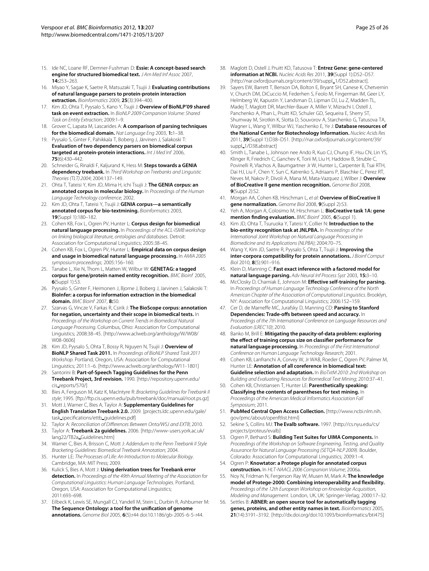- <span id="page-24-0"></span>15. Ide NC, Loane RF, Demner-Fushman D: **Essie: A concept-based search engine for structured biomedical text.** J Am Med Inf Assoc 2007, **14:**253–263.
- <span id="page-24-1"></span>16. Miyao Y, Sagae K, Saetre R, Matsuzaki T, Tsujii J: **Evaluating contributions of natural language parsers to protein-protein interaction extraction.** Bioinformatics 2009, **25**(3):394–400.
- <span id="page-24-2"></span>17. Kim JD, Ohta T, Pyysalo S, Kano Y, Tsujii J: **Overview of BioNLP'09 shared task on event extraction.** In BioNLP 2009 Companion Volume: Shared Task on Entity Extraction; 2009:1–9.
- <span id="page-24-3"></span>18. Grover C, Lapata M, Lascarides A: **A comparison of parsing techniques for the biomedical domain.** Nat Language Eng 2003, **1:**1–38.
- <span id="page-24-4"></span>19. Pyysalo S, Ginter F, Pahikkala T, Boberg J, Järvinen J, Salakoski T: **Evaluation of two dependency parsers on biomedical corpus targeted at protein-protein interactions.** Int J Med Inf 2006, **75**(6):430–442.
- <span id="page-24-5"></span>20. Schneider G, Rinaldi F, Kaljurand K, Hess M: **Steps towards a GENIA dependency treebank.** In Third Workshop on Treebanks and Linguistic Theories (TLT) 2004; 2004:137–149.
- <span id="page-24-6"></span>21. Ohta T, Tateisi Y, Kim JD, Mima H, ichi Tsujii J: **The GENIA corpus: an annotated corpus in molecular biology.** In Proceedings of the Human Language Technology conference; 2002.
- <span id="page-24-7"></span>22. Kim JD, Ohta T, Tateisi Y, Tsujii J: **GENIA corpus—a semantically annotated corpus for bio-textmining.** Bioinformatics 2003, **19**(Suppl 1):180–182.
- <span id="page-24-8"></span>23. Cohen KB, Fox L, Ogren PV, Hunter L: **Corpus design for biomedical natural language processing.** In Proceedings of the ACL-ISMB workshop on linking biological literature, ontologies and databases. Detroit: Association for Computational Linguistics; 2005:38–45.
- <span id="page-24-9"></span>24. Cohen KB, Fox L, Ogren PV, Hunter L: **Empirical data on corpus design and usage in biomedical natural language processing.** In AMIA 2005 symposium proceedings; 2005:156–160.
- <span id="page-24-10"></span>25. Tanabe L, Xie N, Thom L, Matten W, Wilbur W: **GENETAG: a tagged corpus for gene/protein named entity recognition.** BMC Bioinf 2005, **6**(Suppl 1):S3.
- <span id="page-24-11"></span>26. Pyysalo S, Ginter F, Heimonen J, Bjorne J, Boberg J, Jarvinen J, Salakoski T: **BioInfer: a corpus for information extraction in the biomedical domain.** BMC Bioinf 2007, **8:**50.
- <span id="page-24-12"></span>27. Szarvas G, Vincze V, Farkas R, Csirik J: **The BioScope corpus: annotation for negation, uncertainty and their scope in biomedical texts.** In Proceedings of the Workshop on Current Trends in Biomedical Natural Language Processing. Columbus, Ohio: Association for Computational Linguistics; 2008:38–45. [\[http://www.aclweb.org/anthology/W/W08/](http://www.aclweb.org/anthology/W/W08/W08-0606) [W08-0606\]](http://www.aclweb.org/anthology/W/W08/W08-0606)
- <span id="page-24-13"></span>28. Kim JD, Pyysalo S, Ohta T, Bossy R, Nguyen N, Tsujii J: **Overview of BioNLP Shared Task 2011.** In Proceedings of BioNLP Shared Task 2011 Workshop. Portland, Oregon, USA: Association for Computational Linguistics; 2011:1–6. [\[http://www.aclweb.org/anthology/W11-1801\]](http://www.aclweb.org/anthology/W11-1801)
- <span id="page-24-14"></span>29. Santorini B: **Part-of-Speech Tagging Guidelines for the Penn Treebank Project, 3rd revision.** 1990. [\[http://repository.upenn.edu/](http://repository.upenn.edu/cis_reports/570/) cis [reports/570/\]](http://repository.upenn.edu/cis_reports/570/)
- <span id="page-24-15"></span>30. Bies A, Ferguson M, Katz K, MacIntyre R: Bracketing Guidelines for Treebank II style; 1995. [\[ftp://ftp.cis.upenn.edu/pub/treebank/doc/manual/root.ps.gz\]](ftp://ftp.cis.upenn.edu/pub/treebank/doc/manual/root.ps.gz)
- <span id="page-24-20"></span>31. Mott J, Warner C, Bies A, Taylor A: **Supplementary Guidelines for English Translation Treebank 2.0.** 2009. [\[projects.ldc.upenn.edu/gale/](projects.ldc.upenn.edu/gale/task_specifications/ettb_guidelines.pdf) task [specifications/ettb](projects.ldc.upenn.edu/gale/task_specifications/ettb_guidelines.pdf) guidelines.pdf]
- <span id="page-24-16"></span>32. Taylor A: Reconciliation of Differences Between Onto/WSJ and EXTB; 2010.
- <span id="page-24-17"></span>33. Taylor A: **Treebank 2a guidelines.** 2006. [\[http://www-users.york.ac.uk/](http://www-users.york.ac.uk/ lang22/TB2a_Guidelines.htm) lang22/TB2a [Guidelines.htm\]](http://www-users.york.ac.uk/ lang22/TB2a_Guidelines.htm)
- <span id="page-24-18"></span>34. Warner C, Bies A, Brisson C, Mott J: Addendum to the Penn Treebank II Style Bracketing Guidelines: Biomedical Treebank Annotation; 2004.
- <span id="page-24-19"></span>35. Hunter LE: The Processes of Life: An Introduction to Molecular Biology. Cambridge, MA: MIT Press; 2009.
- 36. Kulick S, Bies A, Mott J: **Using derivation trees for Treebank error detection.** In Proceedings of the 49th Annual Meeting of the Association for Computational Linguistics: Human Language Technologies. Portland, Oregon, USA: Association for Computational Linguistics; 2011:693–698.
- <span id="page-24-21"></span>37. Eilbeck K, Lewis SE, Mungall CJ, Yandell M, Stein L, Durbin R, Ashburner M: **The Sequence Ontology: a tool for the unification of genome annotations.** Genome Biol 2005, **6**(5):r44 [doi:10.1186/gb-2005-6-5-r44.](doi:10.1186/gb-2005-6-5-r44)
- <span id="page-24-22"></span>38. Maglott D, Ostell J, Pruitt KD, Tatusova T: **Entrez Gene: gene-centered information at NCBI.** Nucleic Acids Res 2011, **39**(Suppl 1):D52–D57. [\[http://nar.oxfordjournals.org/content/39/suppl](http://nar.oxfordjournals.org/content/39/suppl_1/D52.abstrac t)\_1/D52.abstract].
- <span id="page-24-23"></span>39. Sayers EW, Barrett T, Benson DA, Bolton E, Bryant SH, Canese K, Chetvernin V, Church DM, DiCuccio M, Federhen S, Feolo M, Fingerman IM, Geer LY, Helmberg W, Kapustin Y, Landsman D, Lipman DJ, Lu Z, Madden TL, Madej T, Maglott DR, Marchler-Bauer A, Miller V, Mizrachi I, Ostell J, Panchenko A, Phan L, Pruitt KD, Schuler GD, Sequeira E, Sherry ST, Shumway M, Sirotkin K, Slotta D, Souvorov A, Starchenko G, Tatusova TA, Wagner L, Wang Y, Wilbur WJ, Yaschenko E, Ye J: **Database resources of the National Center for Biotechnology Information.** Nucleic Acids Res 2011, **39**(Suppl 1):D38–D51. [\[http://nar.oxfordjournals.org/content/39/](http://nar.oxfordjournals.org/content/39/suppl_1/D38.abstract) suppl [1/D38.abstract\]](http://nar.oxfordjournals.org/content/39/suppl_1/D38.abstract)
- <span id="page-24-24"></span>40. Smith L, Tanabe L, Johnson nee Ando R, Kuo CJ, Chung IF, Hsu CN, Lin YS, Klinger R, Friedrich C, Ganchev K, Torii M, Liu H, Haddow B, Struble C, Povinelli R, Vlachos A, Baumgartner Jr W, Hunter L, Carpenter B, Tsai RTH, Dai HJ, Liu F, Chen Y, Sun C, Katrenko S, Adriaans P, Blaschke C, Perez RT, Neves M, Nakov P, Divoli A, Mana M, Mata-Vazquez J, Wilber J: **Overview of BioCreative II gene mention recognition.** Genome Biol 2008, **9**(Suppl 2):S2.
- <span id="page-24-25"></span>41. Morgan AA, Cohen KB, Hirschman L, et al: **Overview of BioCreative II gene normalization.** Genome Biol 2008, **9**(Suppl 2):S3.
- <span id="page-24-26"></span>42. Yeh A, Morgan A, Colosimo M, Hirschman L: **BioCreative task 1A: gene mention finding evaluation.** BMC Bioinf 2005, **6**(Suppl 1).
- <span id="page-24-27"></span>43. Kim JD, Ohta T, Tsuruoka Y, Tateisi Y, Collier N: **Introduction to the bio-entity recognition task at JNLPBA.** In Proceedings of the International Joint Workshop on Natural Language Processing in Biomedicine and its Applications (NLPBA); 2004:70–75.
- <span id="page-24-28"></span>44. Wang Y, Kim JD, Saetre R, Pyysalo S, Ohta T, Tsujii J: **Improving the inter-corpora compatibility for protein annotations.** J Bioinf Comput Biol 2010, **8**(5):901–916.
- <span id="page-24-29"></span>45. Klein D, Manning C: **Fast exact inference with a factored model for natural language parsing.** Adv Neural Inf Process Syst 2003, **15:**3–10.
- <span id="page-24-30"></span>46. McClosky D, Charniak E, Johnson M: **Effective self-training for parsing.** In Proceedings of Human Language Technology Conference of the North American Chapter of the Association of Computational Linguistics. Brooklyn, NY: Association for Computational Linguistics; 2006:152–159.
- <span id="page-24-31"></span>47. Cer D, de Marneffe MC, Jurafsky D, Manning CD: **Parsing to Stanford Dependencies: Trade-offs between speed and accuracy.** In Proceedings of the 7th International Conference on Language Resources and Evaluation (LREC'10); 2010.
- <span id="page-24-32"></span>48. Banko M, Brill E: **Mitigating the paucity-of-data problem: exploring the effect of training corpus size on classifier performance for natural language processing.** In Proceedings of the First International Conference on Human Language Technology Research; 2001.
- <span id="page-24-33"></span>49. Cohen KB, Lanfranchi A, Corvey W, Jr WAB, Roeder C, Ogren PV, Palmer M, Hunter LE: **Annotation of all coreference in biomedical text: Guideline selection and adaptation.** In BioTxtM 2010: 2nd Workshop on Building and Evaluating Resources for Biomedical Text Mining; 2010:37–41.
- <span id="page-24-34"></span>50. Cohen KB, Christiansen T, Hunter LE: **Parenthetically speaking: Classifying the contents of parentheses for text mining.** In Proceedings of the American Medical Informatics Association Fall Symposium; 2011.
- <span id="page-24-35"></span>51. **PubMed Central Open Access Collection.** [\[http://www.ncbi.nlm.nih.](http://www.ncbi.nlm.nih.gov/pmc/about/openftlist.html) [gov/pmc/about/openftlist.html\]](http://www.ncbi.nlm.nih.gov/pmc/about/openftlist.html)
- <span id="page-24-36"></span>52. Sekine S, Collins MJ: **The Evalb software.** 1997. [\[http://cs.nyu.edu/cs/](http://cs.nyu.edu/cs/projects/proteus/evalb) [projects/proteus/evalb\]](http://cs.nyu.edu/cs/projects/proteus/evalb)
- <span id="page-24-37"></span>53. Ogren P, Bethard S: **Building Test Suites for UIMA Components.** In Proceedings of the Workshop on Software Engineering, Testing, and Quality Assurance for Natural Language Processing (SETQA-NLP 2009). Boulder, Colorado: Association for Computational Linguistics; 2009:1–4.
- <span id="page-24-38"></span>54. Ogren P: **Knowtator: a Protege plugin for annotated corpus construction.** In HLT-NAACL 2006 Companion Volume; 2006a.
- <span id="page-24-39"></span>55. Noy N, Fridman N, Fergerson Ray W, Musen M, Mark A: **The knowledge model of Protege-2000: Combining interoperability and flexibility.** Proceedings of the 12th European Workshop on Knowledge Acquisition, Modeling and Management. London, UK, UK: Springer-Verlag; 2000:17–32.
- <span id="page-24-40"></span>56. Settles B: **ABNER: an open source tool for automatically tagging genes, proteins, and other entity names in text.** Bioinformatics 2005, **21**(14):3191–3192. [\[http://dx.doi.org/doi:10.1093/bioinformatics/bti475\]](http://dx.doi.org/doi:10.1093/bioinformatics/bti475)